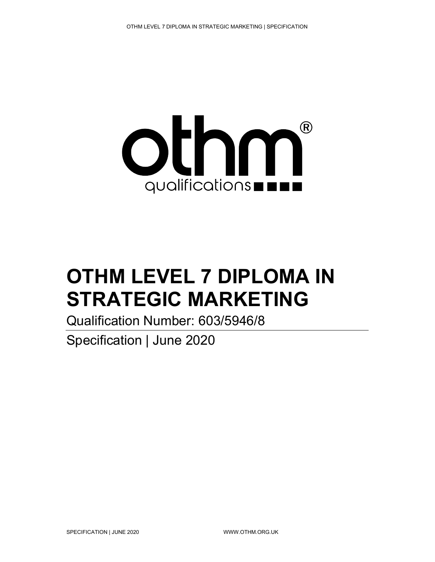

# OTHM LEVEL 7 DIPLOMA IN STRATEGIC MARKETING

Qualification Number: 603/5946/8

Specification | June 2020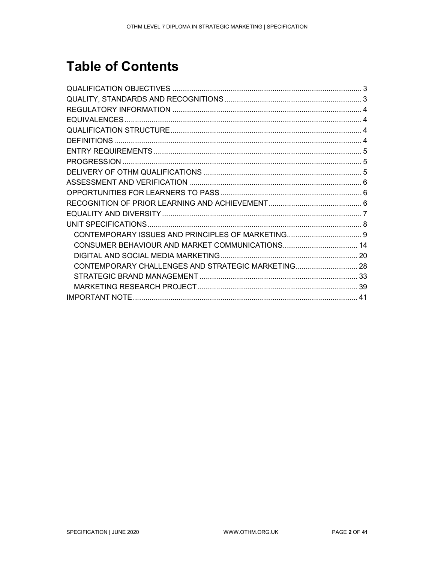# **Table of Contents**

| CONTEMPORARY ISSUES AND PRINCIPLES OF MARKETING 9  |  |
|----------------------------------------------------|--|
|                                                    |  |
|                                                    |  |
| CONTEMPORARY CHALLENGES AND STRATEGIC MARKETING 28 |  |
|                                                    |  |
|                                                    |  |
|                                                    |  |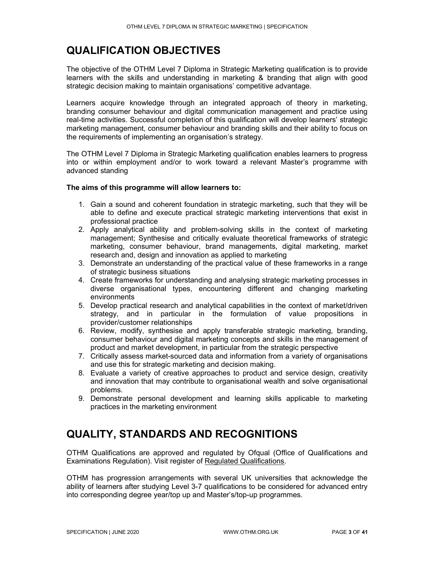# QUALIFICATION OBJECTIVES

The objective of the OTHM Level 7 Diploma in Strategic Marketing qualification is to provide learners with the skills and understanding in marketing & branding that align with good strategic decision making to maintain organisations' competitive advantage.

Learners acquire knowledge through an integrated approach of theory in marketing, branding consumer behaviour and digital communication management and practice using real-time activities. Successful completion of this qualification will develop learners' strategic marketing management, consumer behaviour and branding skills and their ability to focus on the requirements of implementing an organisation's strategy.

The OTHM Level 7 Diploma in Strategic Marketing qualification enables learners to progress into or within employment and/or to work toward a relevant Master's programme with advanced standing

#### The aims of this programme will allow learners to:

- 1. Gain a sound and coherent foundation in strategic marketing, such that they will be able to define and execute practical strategic marketing interventions that exist in professional practice
- 2. Apply analytical ability and problem-solving skills in the context of marketing management; Synthesise and critically evaluate theoretical frameworks of strategic marketing, consumer behaviour, brand managements, digital marketing, market research and, design and innovation as applied to marketing
- 3. Demonstrate an understanding of the practical value of these frameworks in a range of strategic business situations
- 4. Create frameworks for understanding and analysing strategic marketing processes in diverse organisational types, encountering different and changing marketing environments
- 5. Develop practical research and analytical capabilities in the context of market/driven strategy, and in particular in the formulation of value propositions in provider/customer relationships
- 6. Review, modify, synthesise and apply transferable strategic marketing, branding, consumer behaviour and digital marketing concepts and skills in the management of product and market development, in particular from the strategic perspective
- 7. Critically assess market-sourced data and information from a variety of organisations and use this for strategic marketing and decision making.
- 8. Evaluate a variety of creative approaches to product and service design, creativity and innovation that may contribute to organisational wealth and solve organisational problems.
- 9. Demonstrate personal development and learning skills applicable to marketing practices in the marketing environment

# QUALITY, STANDARDS AND RECOGNITIONS

OTHM Qualifications are approved and regulated by Ofqual (Office of Qualifications and Examinations Regulation). Visit register of Regulated Qualifications.

OTHM has progression arrangements with several UK universities that acknowledge the ability of learners after studying Level 3-7 qualifications to be considered for advanced entry into corresponding degree year/top up and Master's/top-up programmes.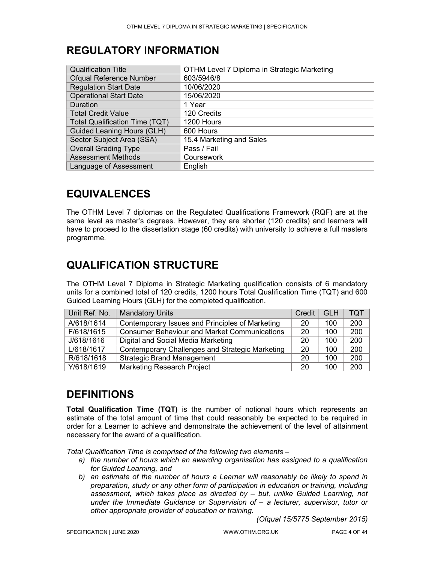# REGULATORY INFORMATION

| <b>Qualification Title</b>            | OTHM Level 7 Diploma in Strategic Marketing |
|---------------------------------------|---------------------------------------------|
| <b>Ofqual Reference Number</b>        | 603/5946/8                                  |
| <b>Regulation Start Date</b>          | 10/06/2020                                  |
| <b>Operational Start Date</b>         | 15/06/2020                                  |
| Duration                              | 1 Year                                      |
| <b>Total Credit Value</b>             | 120 Credits                                 |
| <b>Total Qualification Time (TQT)</b> | 1200 Hours                                  |
| <b>Guided Leaning Hours (GLH)</b>     | 600 Hours                                   |
| Sector Subject Area (SSA)             | 15.4 Marketing and Sales                    |
| <b>Overall Grading Type</b>           | Pass / Fail                                 |
| <b>Assessment Methods</b>             | Coursework                                  |
| Language of Assessment                | English                                     |

# EQUIVALENCES

The OTHM Level 7 diplomas on the Regulated Qualifications Framework (RQF) are at the same level as master's degrees. However, they are shorter (120 credits) and learners will have to proceed to the dissertation stage (60 credits) with university to achieve a full masters programme.

### QUALIFICATION STRUCTURE

The OTHM Level 7 Diploma in Strategic Marketing qualification consists of 6 mandatory units for a combined total of 120 credits, 1200 hours Total Qualification Time (TQT) and 600 Guided Learning Hours (GLH) for the completed qualification.

| Unit Ref. No. | <b>Mandatory Units</b>                              | Credit | <b>GLH</b> | TQT |
|---------------|-----------------------------------------------------|--------|------------|-----|
| A/618/1614    | Contemporary Issues and Principles of Marketing     | 20     | 100        | 200 |
| F/618/1615    | <b>Consumer Behaviour and Market Communications</b> | 20     | 100        | 200 |
| J/618/1616    | Digital and Social Media Marketing                  | 20     | 100        | 200 |
| L/618/1617    | Contemporary Challenges and Strategic Marketing     | 20     | 100        | 200 |
| R/618/1618    | <b>Strategic Brand Management</b>                   | 20     | 100        | 200 |
| Y/618/1619    | <b>Marketing Research Project</b>                   | 20     | 100        | 200 |

# **DEFINITIONS**

Total Qualification Time (TQT) is the number of notional hours which represents an estimate of the total amount of time that could reasonably be expected to be required in order for a Learner to achieve and demonstrate the achievement of the level of attainment necessary for the award of a qualification.

Total Qualification Time is comprised of the following two elements –

- a) the number of hours which an awarding organisation has assigned to a qualification for Guided Learning, and
- b) an estimate of the number of hours a Learner will reasonably be likely to spend in preparation, study or any other form of participation in education or training, including assessment, which takes place as directed by – but, unlike Guided Learning, not under the Immediate Guidance or Supervision of – a lecturer, supervisor, tutor or other appropriate provider of education or training.

(Ofqual 15/5775 September 2015)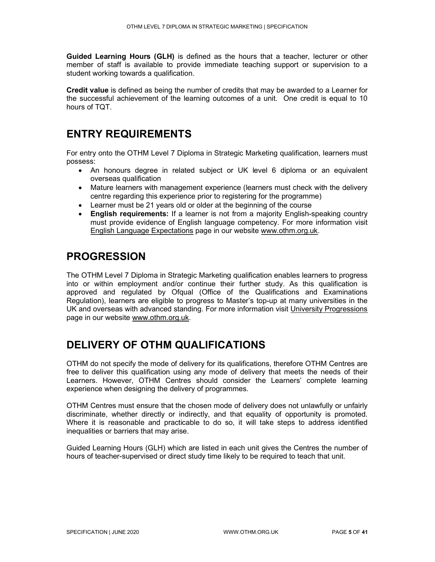Guided Learning Hours (GLH) is defined as the hours that a teacher, lecturer or other member of staff is available to provide immediate teaching support or supervision to a student working towards a qualification.

Credit value is defined as being the number of credits that may be awarded to a Learner for the successful achievement of the learning outcomes of a unit. One credit is equal to 10 hours of TQT.

### ENTRY REQUIREMENTS

For entry onto the OTHM Level 7 Diploma in Strategic Marketing qualification, learners must possess:

- An honours degree in related subject or UK level 6 diploma or an equivalent overseas qualification
- Mature learners with management experience (learners must check with the delivery centre regarding this experience prior to registering for the programme)
- Learner must be 21 years old or older at the beginning of the course
- English requirements: If a learner is not from a majority English-speaking country must provide evidence of English language competency. For more information visit English Language Expectations page in our website www.othm.org.uk.

### PROGRESSION

The OTHM Level 7 Diploma in Strategic Marketing qualification enables learners to progress into or within employment and/or continue their further study. As this qualification is approved and regulated by Ofqual (Office of the Qualifications and Examinations Regulation), learners are eligible to progress to Master's top-up at many universities in the UK and overseas with advanced standing. For more information visit University Progressions page in our website www.othm.org.uk.

# DELIVERY OF OTHM QUALIFICATIONS

OTHM do not specify the mode of delivery for its qualifications, therefore OTHM Centres are free to deliver this qualification using any mode of delivery that meets the needs of their Learners. However, OTHM Centres should consider the Learners' complete learning experience when designing the delivery of programmes.

OTHM Centres must ensure that the chosen mode of delivery does not unlawfully or unfairly discriminate, whether directly or indirectly, and that equality of opportunity is promoted. Where it is reasonable and practicable to do so, it will take steps to address identified inequalities or barriers that may arise.

Guided Learning Hours (GLH) which are listed in each unit gives the Centres the number of hours of teacher-supervised or direct study time likely to be required to teach that unit.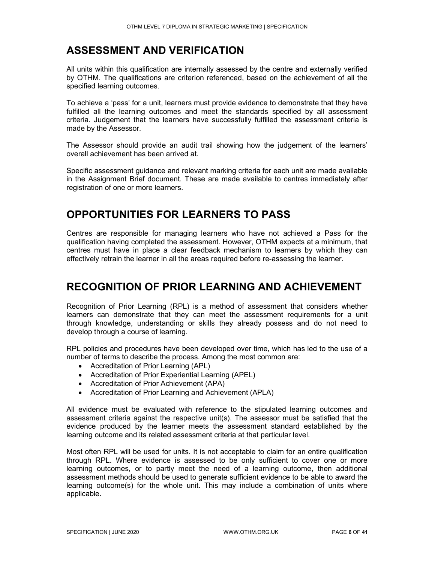# ASSESSMENT AND VERIFICATION

All units within this qualification are internally assessed by the centre and externally verified by OTHM. The qualifications are criterion referenced, based on the achievement of all the specified learning outcomes.

To achieve a 'pass' for a unit, learners must provide evidence to demonstrate that they have fulfilled all the learning outcomes and meet the standards specified by all assessment criteria. Judgement that the learners have successfully fulfilled the assessment criteria is made by the Assessor.

The Assessor should provide an audit trail showing how the judgement of the learners' overall achievement has been arrived at.

Specific assessment guidance and relevant marking criteria for each unit are made available in the Assignment Brief document. These are made available to centres immediately after registration of one or more learners.

# OPPORTUNITIES FOR LEARNERS TO PASS

Centres are responsible for managing learners who have not achieved a Pass for the qualification having completed the assessment. However, OTHM expects at a minimum, that centres must have in place a clear feedback mechanism to learners by which they can effectively retrain the learner in all the areas required before re-assessing the learner.

### RECOGNITION OF PRIOR LEARNING AND ACHIEVEMENT

Recognition of Prior Learning (RPL) is a method of assessment that considers whether learners can demonstrate that they can meet the assessment requirements for a unit through knowledge, understanding or skills they already possess and do not need to develop through a course of learning.

RPL policies and procedures have been developed over time, which has led to the use of a number of terms to describe the process. Among the most common are:

- Accreditation of Prior Learning (APL)
- Accreditation of Prior Experiential Learning (APEL)
- Accreditation of Prior Achievement (APA)
- Accreditation of Prior Learning and Achievement (APLA)

All evidence must be evaluated with reference to the stipulated learning outcomes and assessment criteria against the respective unit(s). The assessor must be satisfied that the evidence produced by the learner meets the assessment standard established by the learning outcome and its related assessment criteria at that particular level.

Most often RPL will be used for units. It is not acceptable to claim for an entire qualification through RPL. Where evidence is assessed to be only sufficient to cover one or more learning outcomes, or to partly meet the need of a learning outcome, then additional assessment methods should be used to generate sufficient evidence to be able to award the learning outcome(s) for the whole unit. This may include a combination of units where applicable.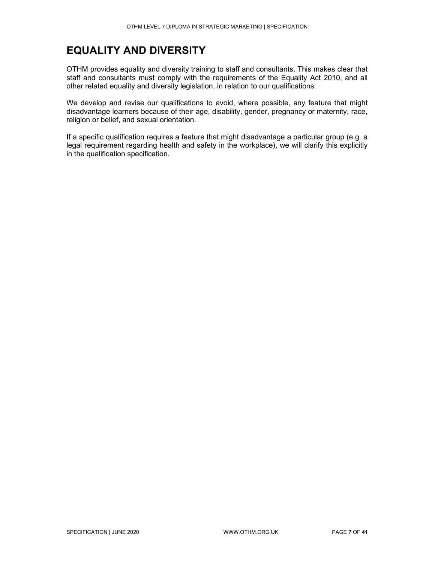# EQUALITY AND DIVERSITY

OTHM provides equality and diversity training to staff and consultants. This makes clear that staff and consultants must comply with the requirements of the Equality Act 2010, and all other related equality and diversity legislation, in relation to our qualifications.

We develop and revise our qualifications to avoid, where possible, any feature that might disadvantage learners because of their age, disability, gender, pregnancy or maternity, race, religion or belief, and sexual orientation.

If a specific qualification requires a feature that might disadvantage a particular group (e.g. a legal requirement regarding health and safety in the workplace), we will clarify this explicitly in the qualification specification.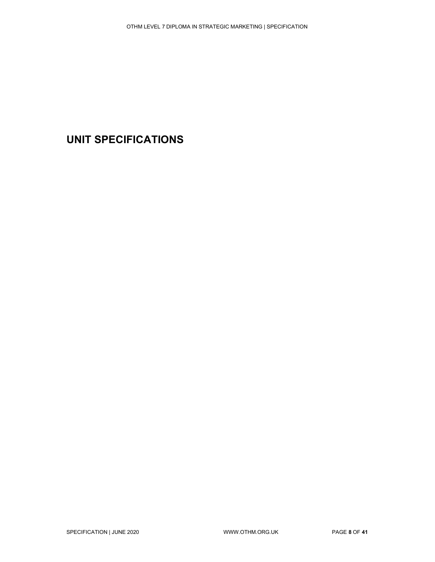# UNIT SPECIFICATIONS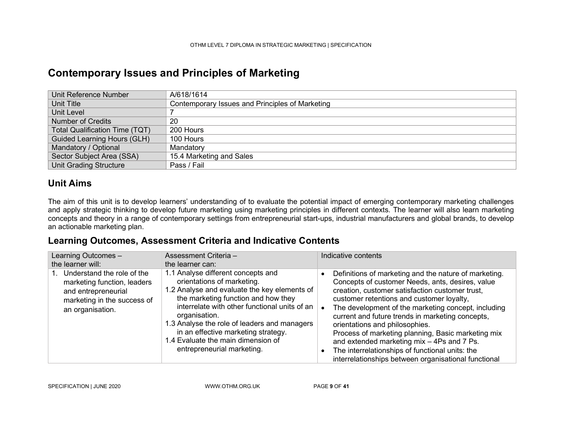### Contemporary Issues and Principles of Marketing

| Unit Reference Number                 | A/618/1614                                      |
|---------------------------------------|-------------------------------------------------|
| Unit Title                            | Contemporary Issues and Principles of Marketing |
| Unit Level                            |                                                 |
| Number of Credits                     | 20                                              |
| <b>Total Qualification Time (TQT)</b> | 200 Hours                                       |
| <b>Guided Learning Hours (GLH)</b>    | 100 Hours                                       |
| Mandatory / Optional                  | Mandatory                                       |
| Sector Subject Area (SSA)             | 15.4 Marketing and Sales                        |
| <b>Unit Grading Structure</b>         | Pass / Fail                                     |

#### Unit Aims

The aim of this unit is to develop learners' understanding of to evaluate the potential impact of emerging contemporary marketing challenges and apply strategic thinking to develop future marketing using marketing principles in different contexts. The learner will also learn marketing concepts and theory in a range of contemporary settings from entrepreneurial start-ups, industrial manufacturers and global brands, to develop an actionable marketing plan.

#### Learning Outcomes, Assessment Criteria and Indicative Contents

| Learning Outcomes -                                                                                                                 | Assessment Criteria -                                                                                                                                                                                                                                                                                                                                                                | Indicative contents                                                                                                                                                                                                                                                                                                                                                                                                                                                                                                                                                   |
|-------------------------------------------------------------------------------------------------------------------------------------|--------------------------------------------------------------------------------------------------------------------------------------------------------------------------------------------------------------------------------------------------------------------------------------------------------------------------------------------------------------------------------------|-----------------------------------------------------------------------------------------------------------------------------------------------------------------------------------------------------------------------------------------------------------------------------------------------------------------------------------------------------------------------------------------------------------------------------------------------------------------------------------------------------------------------------------------------------------------------|
| the learner will:                                                                                                                   | the learner can:                                                                                                                                                                                                                                                                                                                                                                     |                                                                                                                                                                                                                                                                                                                                                                                                                                                                                                                                                                       |
| Understand the role of the<br>marketing function, leaders<br>and entrepreneurial<br>marketing in the success of<br>an organisation. | 1.1 Analyse different concepts and<br>orientations of marketing.<br>1.2 Analyse and evaluate the key elements of<br>the marketing function and how they<br>interrelate with other functional units of an<br>organisation.<br>1.3 Analyse the role of leaders and managers<br>in an effective marketing strategy.<br>1.4 Evaluate the main dimension of<br>entrepreneurial marketing. | Definitions of marketing and the nature of marketing.<br>Concepts of customer Needs, ants, desires, value<br>creation, customer satisfaction customer trust,<br>customer retentions and customer loyalty,<br>The development of the marketing concept, including<br>current and future trends in marketing concepts,<br>orientations and philosophies.<br>Process of marketing planning, Basic marketing mix<br>and extended marketing mix - 4Ps and 7 Ps.<br>The interrelationships of functional units: the<br>interrelationships between organisational functional |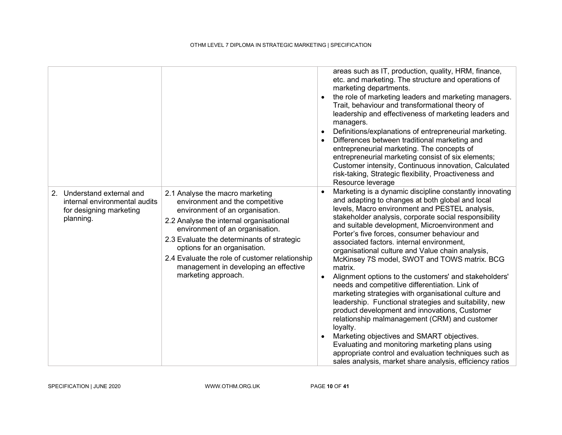|                                                                                                     |                                                                                                                                                                                                                                                                                                                                                                                     | areas such as IT, production, quality, HRM, finance,<br>etc. and marketing. The structure and operations of<br>marketing departments.<br>the role of marketing leaders and marketing managers.<br>Trait, behaviour and transformational theory of<br>leadership and effectiveness of marketing leaders and<br>managers.<br>Definitions/explanations of entrepreneurial marketing.<br>Differences between traditional marketing and<br>entrepreneurial marketing. The concepts of<br>entrepreneurial marketing consist of six elements;<br>Customer intensity, Continuous innovation, Calculated<br>risk-taking, Strategic flexibility, Proactiveness and<br>Resource leverage                                                                                                                                                                                                                                                                                                                                                                         |
|-----------------------------------------------------------------------------------------------------|-------------------------------------------------------------------------------------------------------------------------------------------------------------------------------------------------------------------------------------------------------------------------------------------------------------------------------------------------------------------------------------|-------------------------------------------------------------------------------------------------------------------------------------------------------------------------------------------------------------------------------------------------------------------------------------------------------------------------------------------------------------------------------------------------------------------------------------------------------------------------------------------------------------------------------------------------------------------------------------------------------------------------------------------------------------------------------------------------------------------------------------------------------------------------------------------------------------------------------------------------------------------------------------------------------------------------------------------------------------------------------------------------------------------------------------------------------|
| 2. Understand external and<br>internal environmental audits<br>for designing marketing<br>planning. | 2.1 Analyse the macro marketing<br>environment and the competitive<br>environment of an organisation.<br>2.2 Analyse the internal organisational<br>environment of an organisation.<br>2.3 Evaluate the determinants of strategic<br>options for an organisation.<br>2.4 Evaluate the role of customer relationship<br>management in developing an effective<br>marketing approach. | Marketing is a dynamic discipline constantly innovating<br>and adapting to changes at both global and local<br>levels, Macro environment and PESTEL analysis,<br>stakeholder analysis, corporate social responsibility<br>and suitable development, Microenvironment and<br>Porter's five forces, consumer behaviour and<br>associated factors. internal environment,<br>organisational culture and Value chain analysis,<br>McKinsey 7S model, SWOT and TOWS matrix. BCG<br>matrix.<br>Alignment options to the customers' and stakeholders'<br>needs and competitive differentiation. Link of<br>marketing strategies with organisational culture and<br>leadership. Functional strategies and suitability, new<br>product development and innovations, Customer<br>relationship malmanagement (CRM) and customer<br>loyalty.<br>Marketing objectives and SMART objectives.<br>Evaluating and monitoring marketing plans using<br>appropriate control and evaluation techniques such as<br>sales analysis, market share analysis, efficiency ratios |

SPECIFICATION | JUNE 2020 WWW.OTHM.ORG.UK PAGE 10 OF 41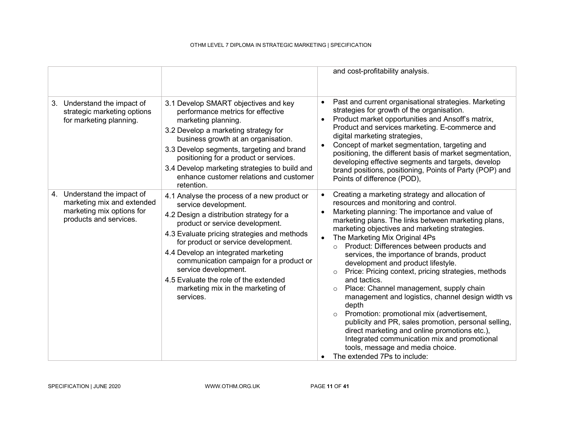|                                                                                                                  |                                                                                                                                                                                                                                                                                                                                                                                                                                               | and cost-profitability analysis.                                                                                                                                                                                                                                                                                                                                                                                                                                                                                                                                                                                                                                                                                                                                                                                                                                                                            |
|------------------------------------------------------------------------------------------------------------------|-----------------------------------------------------------------------------------------------------------------------------------------------------------------------------------------------------------------------------------------------------------------------------------------------------------------------------------------------------------------------------------------------------------------------------------------------|-------------------------------------------------------------------------------------------------------------------------------------------------------------------------------------------------------------------------------------------------------------------------------------------------------------------------------------------------------------------------------------------------------------------------------------------------------------------------------------------------------------------------------------------------------------------------------------------------------------------------------------------------------------------------------------------------------------------------------------------------------------------------------------------------------------------------------------------------------------------------------------------------------------|
| 3. Understand the impact of<br>strategic marketing options<br>for marketing planning.                            | 3.1 Develop SMART objectives and key<br>performance metrics for effective<br>marketing planning.<br>3.2 Develop a marketing strategy for<br>business growth at an organisation.<br>3.3 Develop segments, targeting and brand<br>positioning for a product or services.<br>3.4 Develop marketing strategies to build and<br>enhance customer relations and customer<br>retention.                                                              | Past and current organisational strategies. Marketing<br>strategies for growth of the organisation.<br>Product market opportunities and Ansoff's matrix,<br>Product and services marketing. E-commerce and<br>digital marketing strategies,<br>Concept of market segmentation, targeting and<br>positioning, the different basis of market segmentation,<br>developing effective segments and targets, develop<br>brand positions, positioning, Points of Party (POP) and<br>Points of difference (POD),                                                                                                                                                                                                                                                                                                                                                                                                    |
| 4. Understand the impact of<br>marketing mix and extended<br>marketing mix options for<br>products and services. | 4.1 Analyse the process of a new product or<br>service development.<br>4.2 Design a distribution strategy for a<br>product or service development.<br>4.3 Evaluate pricing strategies and methods<br>for product or service development.<br>4.4 Develop an integrated marketing<br>communication campaign for a product or<br>service development.<br>4.5 Evaluate the role of the extended<br>marketing mix in the marketing of<br>services. | Creating a marketing strategy and allocation of<br>resources and monitoring and control.<br>Marketing planning: The importance and value of<br>marketing plans. The links between marketing plans,<br>marketing objectives and marketing strategies.<br>The Marketing Mix Original 4Ps<br>o Product: Differences between products and<br>services, the importance of brands, product<br>development and product lifestyle.<br>Price: Pricing context, pricing strategies, methods<br>$\circ$<br>and tactics.<br>Place: Channel management, supply chain<br>$\circ$<br>management and logistics, channel design width vs<br>depth<br>Promotion: promotional mix (advertisement,<br>publicity and PR, sales promotion, personal selling,<br>direct marketing and online promotions etc.),<br>Integrated communication mix and promotional<br>tools, message and media choice.<br>The extended 7Ps to include: |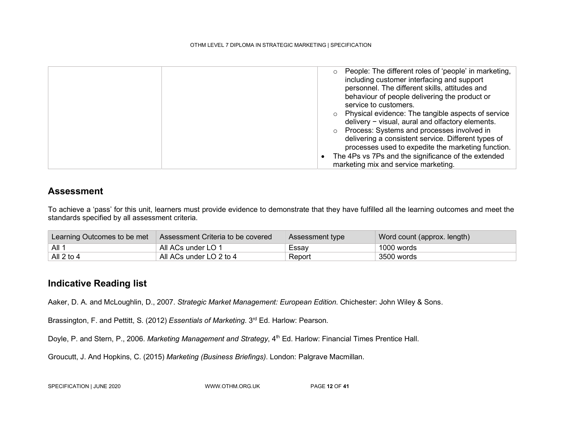| People: The different roles of 'people' in marketing,<br>including customer interfacing and support |
|-----------------------------------------------------------------------------------------------------|
| personnel. The different skills, attitudes and                                                      |
| behaviour of people delivering the product or                                                       |
| service to customers.                                                                               |
| Physical evidence: The tangible aspects of service                                                  |
| delivery - visual, aural and olfactory elements.                                                    |
| Process: Systems and processes involved in                                                          |
| delivering a consistent service. Different types of                                                 |
| processes used to expedite the marketing function.                                                  |
| The 4Ps vs 7Ps and the significance of the extended                                                 |
| marketing mix and service marketing.                                                                |

#### Assessment

To achieve a 'pass' for this unit, learners must provide evidence to demonstrate that they have fulfilled all the learning outcomes and meet the standards specified by all assessment criteria.

| Learning Outcomes to be met | Assessment Criteria to be covered | Assessment type | Word count (approx. length) |
|-----------------------------|-----------------------------------|-----------------|-----------------------------|
| $\overline{A}$ ll 1         | All ACs under LO 1                | Essay           | 1000 words                  |
| All 2 to 4                  | All ACs under LO 2 to 4           | Report          | 3500 words                  |

#### Indicative Reading list

Aaker, D. A. and McLoughlin, D., 2007. Strategic Market Management: European Edition. Chichester: John Wiley & Sons.

Brassington, F. and Pettitt, S. (2012) Essentials of Marketing. 3<sup>rd</sup> Ed. Harlow: Pearson.

Doyle, P. and Stern, P., 2006. Marketing Management and Strategy, 4<sup>th</sup> Ed. Harlow: Financial Times Prentice Hall.

Groucutt, J. And Hopkins, C. (2015) Marketing (Business Briefings). London: Palgrave Macmillan.

SPECIFICATION | JUNE 2020 WWW.OTHM.ORG.UK PAGE 12 OF 41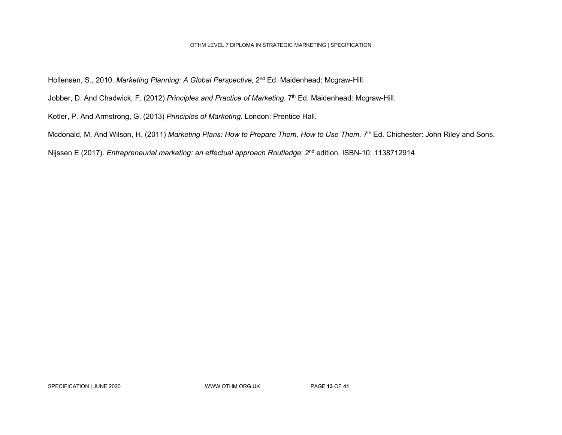Hollensen, S., 2010. Marketing Planning: A Global Perspective, 2<sup>nd</sup> Ed. Maidenhead: Mcgraw-Hill.

Jobber, D. And Chadwick, F. (2012) Principles and Practice of Marketing. 7<sup>th</sup> Ed. Maidenhead: Mcgraw-Hill.

Kotler, P. And Armstrong, G. (2013) Principles of Marketing. London: Prentice Hall.

Mcdonald, M. And Wilson, H. (2011) Marketing Plans: How to Prepare Them, How to Use Them. 7<sup>th</sup> Ed. Chichester: John Riley and Sons.

Nijssen E (2017). Entrepreneurial marketing: an effectual approach Routledge; 2<sup>nd</sup> edition. ISBN-10: 1138712914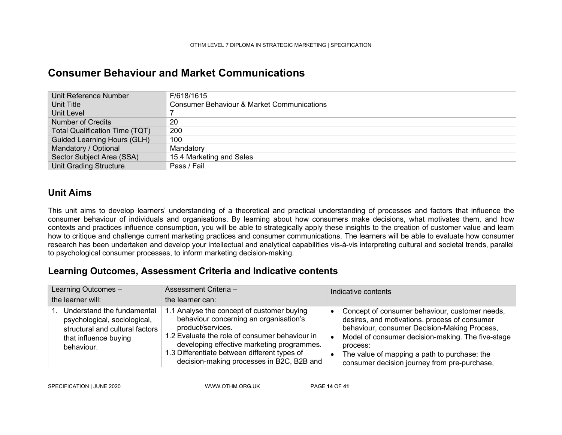### Consumer Behaviour and Market Communications

| Unit Reference Number                 | F/618/1615                                            |
|---------------------------------------|-------------------------------------------------------|
| Unit Title                            | <b>Consumer Behaviour &amp; Market Communications</b> |
| Unit Level                            |                                                       |
| <b>Number of Credits</b>              | -20                                                   |
| <b>Total Qualification Time (TQT)</b> | 200                                                   |
| <b>Guided Learning Hours (GLH)</b>    | 100                                                   |
| Mandatory / Optional                  | Mandatory                                             |
| Sector Subject Area (SSA)             | 15.4 Marketing and Sales                              |
| <b>Unit Grading Structure</b>         | Pass / Fail                                           |

#### Unit Aims

This unit aims to develop learners' understanding of a theoretical and practical understanding of processes and factors that influence the consumer behaviour of individuals and organisations. By learning about how consumers make decisions, what motivates them, and how contexts and practices influence consumption, you will be able to strategically apply these insights to the creation of customer value and learn how to critique and challenge current marketing practices and consumer communications. The learners will be able to evaluate how consumer research has been undertaken and develop your intellectual and analytical capabilities vis-à-vis interpreting cultural and societal trends, parallel to psychological consumer processes, to inform marketing decision-making.

#### Learning Outcomes, Assessment Criteria and Indicative contents

| Learning Outcomes -                                                                                                                     | Assessment Criteria -                                                                                                                                                                                                                                                                                  | Indicative contents                                                                                                                                                                                                                                                                                              |
|-----------------------------------------------------------------------------------------------------------------------------------------|--------------------------------------------------------------------------------------------------------------------------------------------------------------------------------------------------------------------------------------------------------------------------------------------------------|------------------------------------------------------------------------------------------------------------------------------------------------------------------------------------------------------------------------------------------------------------------------------------------------------------------|
| the learner will:                                                                                                                       | the learner can:                                                                                                                                                                                                                                                                                       |                                                                                                                                                                                                                                                                                                                  |
| 1. Understand the fundamental<br>psychological, sociological,<br>structural and cultural factors<br>that influence buying<br>behaviour. | 1.1 Analyse the concept of customer buying<br>behaviour concerning an organisation's<br>product/services.<br>1.2 Evaluate the role of consumer behaviour in<br>developing effective marketing programmes.<br>1.3 Differentiate between different types of<br>decision-making processes in B2C, B2B and | Concept of consumer behaviour, customer needs,<br>desires, and motivations. process of consumer<br>behaviour, consumer Decision-Making Process,<br>Model of consumer decision-making. The five-stage<br>process:<br>The value of mapping a path to purchase: the<br>consumer decision journey from pre-purchase, |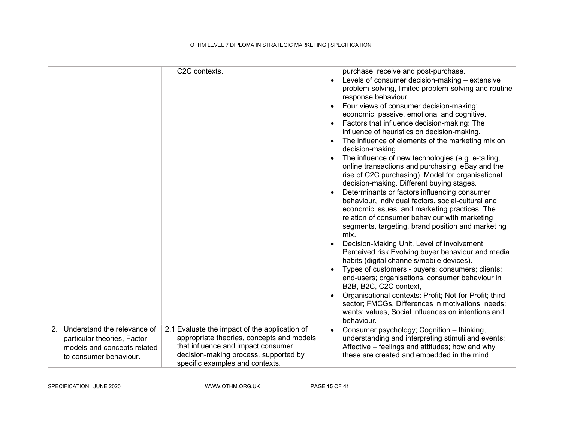|                                                                                                                         | C2C contexts.                                                                                                                                                                                                | $\bullet$ | purchase, receive and post-purchase.<br>Levels of consumer decision-making - extensive<br>problem-solving, limited problem-solving and routine<br>response behaviour.<br>Four views of consumer decision-making:<br>economic, passive, emotional and cognitive.<br>Factors that influence decision-making: The<br>influence of heuristics on decision-making.<br>The influence of elements of the marketing mix on<br>decision-making.<br>The influence of new technologies (e.g. e-tailing,<br>online transactions and purchasing, eBay and the<br>rise of C2C purchasing). Model for organisational<br>decision-making. Different buying stages.<br>Determinants or factors influencing consumer<br>behaviour, individual factors, social-cultural and<br>economic issues, and marketing practices. The<br>relation of consumer behaviour with marketing<br>segments, targeting, brand position and market ng<br>mix.<br>Decision-Making Unit, Level of involvement<br>Perceived risk Evolving buyer behaviour and media<br>habits (digital channels/mobile devices).<br>Types of customers - buyers; consumers; clients;<br>end-users; organisations, consumer behaviour in<br>B2B, B2C, C2C context,<br>Organisational contexts: Profit; Not-for-Profit; third<br>sector; FMCGs, Differences in motivations; needs;<br>wants; values, Social influences on intentions and<br>behaviour. |
|-------------------------------------------------------------------------------------------------------------------------|--------------------------------------------------------------------------------------------------------------------------------------------------------------------------------------------------------------|-----------|---------------------------------------------------------------------------------------------------------------------------------------------------------------------------------------------------------------------------------------------------------------------------------------------------------------------------------------------------------------------------------------------------------------------------------------------------------------------------------------------------------------------------------------------------------------------------------------------------------------------------------------------------------------------------------------------------------------------------------------------------------------------------------------------------------------------------------------------------------------------------------------------------------------------------------------------------------------------------------------------------------------------------------------------------------------------------------------------------------------------------------------------------------------------------------------------------------------------------------------------------------------------------------------------------------------------------------------------------------------------------------------------|
| 2. Understand the relevance of<br>particular theories, Factor,<br>models and concepts related<br>to consumer behaviour. | 2.1 Evaluate the impact of the application of<br>appropriate theories, concepts and models<br>that influence and impact consumer<br>decision-making process, supported by<br>specific examples and contexts. | $\bullet$ | Consumer psychology; Cognition - thinking,<br>understanding and interpreting stimuli and events;<br>Affective – feelings and attitudes; how and why<br>these are created and embedded in the mind.                                                                                                                                                                                                                                                                                                                                                                                                                                                                                                                                                                                                                                                                                                                                                                                                                                                                                                                                                                                                                                                                                                                                                                                          |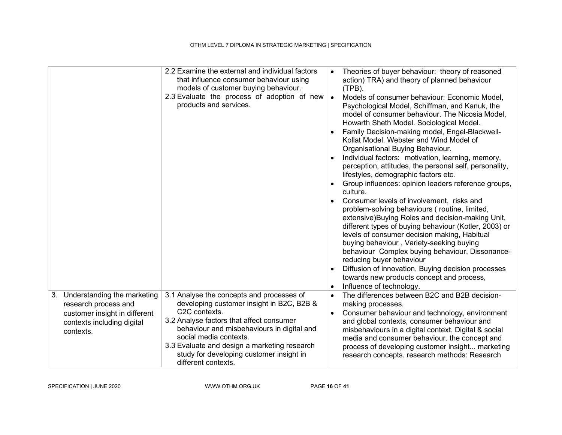|                                                                                                                                    | 2.2 Examine the external and individual factors<br>that influence consumer behaviour using<br>models of customer buying behaviour.<br>2.3 Evaluate the process of adoption of new<br>products and services.                                                                                                                                    | $\bullet$<br>$\bullet$<br>$\bullet$ | Theories of buyer behaviour: theory of reasoned<br>action) TRA) and theory of planned behaviour<br>$(TPB)$ .<br>Models of consumer behaviour: Economic Model,<br>Psychological Model, Schiffman, and Kanuk, the<br>model of consumer behaviour. The Nicosia Model,<br>Howarth Sheth Model. Sociological Model.<br>Family Decision-making model, Engel-Blackwell-<br>Kollat Model, Webster and Wind Model of<br>Organisational Buying Behaviour.<br>Individual factors: motivation, learning, memory,<br>perception, attitudes, the personal self, personality,<br>lifestyles, demographic factors etc.<br>Group influences: opinion leaders reference groups,<br>culture.<br>Consumer levels of involvement, risks and<br>problem-solving behaviours (routine, limited,<br>extensive) Buying Roles and decision-making Unit,<br>different types of buying behaviour (Kotler, 2003) or<br>levels of consumer decision making, Habitual<br>buying behaviour, Variety-seeking buying<br>behaviour Complex buying behaviour, Dissonance-<br>reducing buyer behaviour<br>Diffusion of innovation, Buying decision processes<br>towards new products concept and process,<br>Influence of technology. |
|------------------------------------------------------------------------------------------------------------------------------------|------------------------------------------------------------------------------------------------------------------------------------------------------------------------------------------------------------------------------------------------------------------------------------------------------------------------------------------------|-------------------------------------|-------------------------------------------------------------------------------------------------------------------------------------------------------------------------------------------------------------------------------------------------------------------------------------------------------------------------------------------------------------------------------------------------------------------------------------------------------------------------------------------------------------------------------------------------------------------------------------------------------------------------------------------------------------------------------------------------------------------------------------------------------------------------------------------------------------------------------------------------------------------------------------------------------------------------------------------------------------------------------------------------------------------------------------------------------------------------------------------------------------------------------------------------------------------------------------------------|
| 3. Understanding the marketing<br>research process and<br>customer insight in different<br>contexts including digital<br>contexts. | 3.1 Analyse the concepts and processes of<br>developing customer insight in B2C, B2B &<br>C2C contexts.<br>3.2 Analyse factors that affect consumer<br>behaviour and misbehaviours in digital and<br>social media contexts.<br>3.3 Evaluate and design a marketing research<br>study for developing customer insight in<br>different contexts. | $\bullet$                           | The differences between B2C and B2B decision-<br>making processes.<br>Consumer behaviour and technology, environment<br>and global contexts, consumer behaviour and<br>misbehaviours in a digital context, Digital & social<br>media and consumer behaviour. the concept and<br>process of developing customer insight marketing<br>research concepts. research methods: Research                                                                                                                                                                                                                                                                                                                                                                                                                                                                                                                                                                                                                                                                                                                                                                                                               |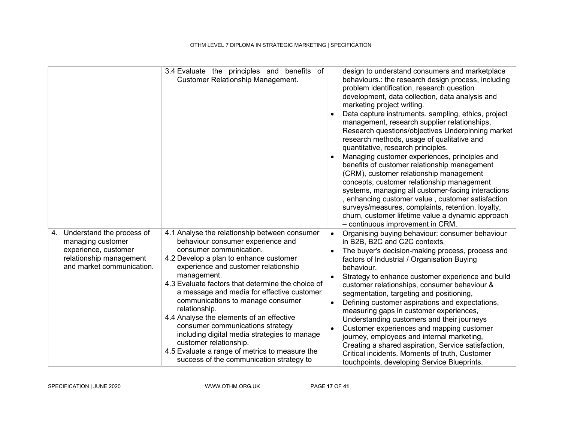|                                                                                                                                   | 3.4 Evaluate the principles and benefits of<br><b>Customer Relationship Management.</b>                                                                                                                                                                                                                                                                                                                                                                                                                                                                                                                                         | design to understand consumers and marketplace<br>behaviours.: the research design process, including<br>problem identification, research question<br>development, data collection, data analysis and<br>marketing project writing.<br>Data capture instruments. sampling, ethics, project<br>management, research supplier relationships,<br>Research questions/objectives Underpinning market<br>research methods, usage of qualitative and<br>quantitative, research principles.<br>Managing customer experiences, principles and<br>benefits of customer relationship management<br>(CRM), customer relationship management<br>concepts, customer relationship management<br>systems, managing all customer-facing interactions<br>, enhancing customer value, customer satisfaction<br>surveys/measures, complaints, retention, loyalty,<br>churn, customer lifetime value a dynamic approach<br>- continuous improvement in CRM. |
|-----------------------------------------------------------------------------------------------------------------------------------|---------------------------------------------------------------------------------------------------------------------------------------------------------------------------------------------------------------------------------------------------------------------------------------------------------------------------------------------------------------------------------------------------------------------------------------------------------------------------------------------------------------------------------------------------------------------------------------------------------------------------------|----------------------------------------------------------------------------------------------------------------------------------------------------------------------------------------------------------------------------------------------------------------------------------------------------------------------------------------------------------------------------------------------------------------------------------------------------------------------------------------------------------------------------------------------------------------------------------------------------------------------------------------------------------------------------------------------------------------------------------------------------------------------------------------------------------------------------------------------------------------------------------------------------------------------------------------|
| 4. Understand the process of<br>managing customer<br>experience, customer<br>relationship management<br>and market communication. | 4.1 Analyse the relationship between consumer<br>behaviour consumer experience and<br>consumer communication.<br>4.2 Develop a plan to enhance customer<br>experience and customer relationship<br>management.<br>4.3 Evaluate factors that determine the choice of<br>a message and media for effective customer<br>communications to manage consumer<br>relationship.<br>4.4 Analyse the elements of an effective<br>consumer communications strategy<br>including digital media strategies to manage<br>customer relationship.<br>4.5 Evaluate a range of metrics to measure the<br>success of the communication strategy to | Organising buying behaviour: consumer behaviour<br>$\bullet$<br>in B2B, B2C and C2C contexts,<br>The buyer's decision-making process, process and<br>$\bullet$<br>factors of Industrial / Organisation Buying<br>behaviour.<br>Strategy to enhance customer experience and build<br>customer relationships, consumer behaviour &<br>segmentation, targeting and positioning,<br>Defining customer aspirations and expectations,<br>measuring gaps in customer experiences,<br>Understanding customers and their journeys<br>Customer experiences and mapping customer<br>$\bullet$<br>journey, employees and internal marketing,<br>Creating a shared aspiration, Service satisfaction,<br>Critical incidents. Moments of truth, Customer<br>touchpoints, developing Service Blueprints.                                                                                                                                               |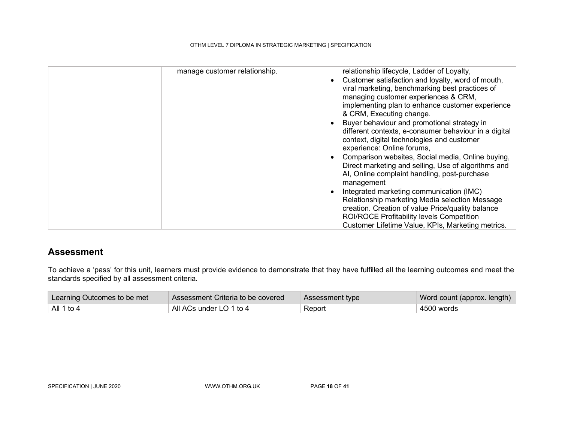| manage customer relationship.<br>relationship lifecycle, Ladder of Loyalty,<br>Customer satisfaction and loyalty, word of mouth,<br>$\bullet$<br>viral marketing, benchmarking best practices of<br>managing customer experiences & CRM,<br>implementing plan to enhance customer experience<br>& CRM, Executing change.<br>Buyer behaviour and promotional strategy in<br>different contexts, e-consumer behaviour in a digital<br>context, digital technologies and customer<br>experience: Online forums,<br>Comparison websites, Social media, Online buying,<br>$\bullet$<br>Direct marketing and selling, Use of algorithms and<br>Al, Online complaint handling, post-purchase<br>management<br>Integrated marketing communication (IMC)<br>$\bullet$<br>Relationship marketing Media selection Message<br>creation. Creation of value Price/quality balance |
|---------------------------------------------------------------------------------------------------------------------------------------------------------------------------------------------------------------------------------------------------------------------------------------------------------------------------------------------------------------------------------------------------------------------------------------------------------------------------------------------------------------------------------------------------------------------------------------------------------------------------------------------------------------------------------------------------------------------------------------------------------------------------------------------------------------------------------------------------------------------|

#### Assessment

To achieve a 'pass' for this unit, learners must provide evidence to demonstrate that they have fulfilled all the learning outcomes and meet the standards specified by all assessment criteria.

| Learning Outcomes to be met | Assessment Criteria to be covered | Assessment type | Word count (approx. length) |
|-----------------------------|-----------------------------------|-----------------|-----------------------------|
| All 1 to 4                  | All ACs under LO 1 to 4           | Report          | 4500 words                  |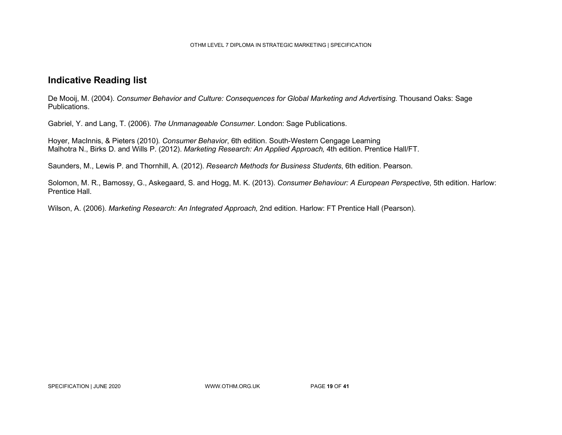#### Indicative Reading list

De Mooij, M. (2004). Consumer Behavior and Culture: Consequences for Global Marketing and Advertising. Thousand Oaks: Sage Publications.

Gabriel, Y. and Lang, T. (2006). The Unmanageable Consumer. London: Sage Publications.

Hoyer, MacInnis, & Pieters (2010). Consumer Behavior, 6th edition. South-Western Cengage Learning Malhotra N., Birks D. and Wills P. (2012). Marketing Research: An Applied Approach, 4th edition. Prentice Hall/FT.

Saunders, M., Lewis P. and Thornhill, A. (2012). Research Methods for Business Students, 6th edition. Pearson.

Solomon, M. R., Bamossy, G., Askegaard, S. and Hogg, M. K. (2013). Consumer Behaviour: A European Perspective, 5th edition. Harlow: Prentice Hall.

Wilson, A. (2006). Marketing Research: An Integrated Approach, 2nd edition. Harlow: FT Prentice Hall (Pearson).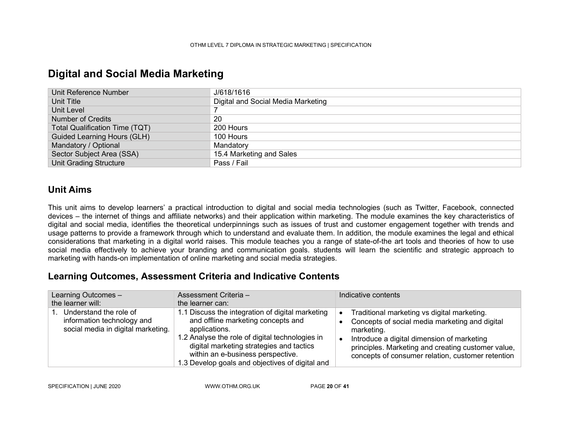| Unit Reference Number              | J/618/1616                         |
|------------------------------------|------------------------------------|
| Unit Title                         | Digital and Social Media Marketing |
| Unit Level                         |                                    |
| <b>Number of Credits</b>           | 20                                 |
| Total Qualification Time (TQT)     | 200 Hours                          |
| <b>Guided Learning Hours (GLH)</b> | 100 Hours                          |
| Mandatory / Optional               | Mandatory                          |
| Sector Subject Area (SSA)          | 15.4 Marketing and Sales           |
| <b>Unit Grading Structure</b>      | Pass / Fail                        |

### Digital and Social Media Marketing

#### Unit Aims

This unit aims to develop learners' a practical introduction to digital and social media technologies (such as Twitter, Facebook, connected devices – the internet of things and affiliate networks) and their application within marketing. The module examines the key characteristics of digital and social media, identifies the theoretical underpinnings such as issues of trust and customer engagement together with trends and usage patterns to provide a framework through which to understand and evaluate them. In addition, the module examines the legal and ethical considerations that marketing in a digital world raises. This module teaches you a range of state-of-the art tools and theories of how to use social media effectively to achieve your branding and communication goals. students will learn the scientific and strategic approach to marketing with hands-on implementation of online marketing and social media strategies.

#### Learning Outcomes, Assessment Criteria and Indicative Contents

| Learning Outcomes -<br>the learner will:                                                      | Assessment Criteria -<br>the learner can:                                                                                                                                                                                                                                                      | Indicative contents                                                                                                                                                                                                                                                                            |
|-----------------------------------------------------------------------------------------------|------------------------------------------------------------------------------------------------------------------------------------------------------------------------------------------------------------------------------------------------------------------------------------------------|------------------------------------------------------------------------------------------------------------------------------------------------------------------------------------------------------------------------------------------------------------------------------------------------|
| 1. Understand the role of<br>information technology and<br>social media in digital marketing. | 1.1 Discuss the integration of digital marketing<br>and offline marketing concepts and<br>applications.<br>1.2 Analyse the role of digital technologies in<br>digital marketing strategies and tactics<br>within an e-business perspective.<br>1.3 Develop goals and objectives of digital and | Traditional marketing vs digital marketing.<br>$\bullet$<br>Concepts of social media marketing and digital<br>marketing.<br>Introduce a digital dimension of marketing<br>$\bullet$<br>principles. Marketing and creating customer value,<br>concepts of consumer relation, customer retention |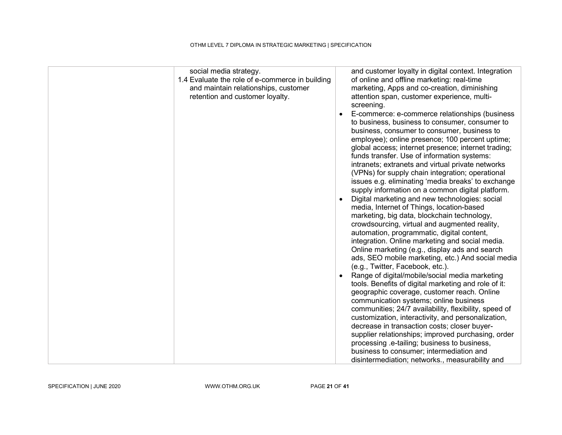| social media strategy.<br>1.4 Evaluate the role of e-commerce in building<br>and maintain relationships, customer<br>retention and customer loyalty. | and customer loyalty in digital context. Integration<br>of online and offline marketing: real-time<br>marketing, Apps and co-creation, diminishing<br>attention span, customer experience, multi-<br>screening.<br>E-commerce: e-commerce relationships (business<br>to business, business to consumer, consumer to<br>business, consumer to consumer, business to<br>employee); online presence; 100 percent uptime;<br>global access; internet presence; internet trading;<br>funds transfer. Use of information systems:<br>intranets; extranets and virtual private networks<br>(VPNs) for supply chain integration; operational<br>issues e.g. eliminating 'media breaks' to exchange<br>supply information on a common digital platform.<br>Digital marketing and new technologies: social<br>media, Internet of Things, location-based<br>marketing, big data, blockchain technology,<br>crowdsourcing, virtual and augmented reality,<br>automation, programmatic, digital content,<br>integration. Online marketing and social media.<br>Online marketing (e.g., display ads and search<br>ads, SEO mobile marketing, etc.) And social media<br>(e.g., Twitter, Facebook, etc.).<br>Range of digital/mobile/social media marketing<br>tools. Benefits of digital marketing and role of it:<br>geographic coverage, customer reach. Online<br>communication systems; online business<br>communities; 24/7 availability, flexibility, speed of<br>customization, interactivity, and personalization,<br>decrease in transaction costs; closer buyer-<br>supplier relationships; improved purchasing, order<br>processing .e-tailing; business to business,<br>business to consumer; intermediation and<br>disintermediation; networks., measurability and |
|------------------------------------------------------------------------------------------------------------------------------------------------------|------------------------------------------------------------------------------------------------------------------------------------------------------------------------------------------------------------------------------------------------------------------------------------------------------------------------------------------------------------------------------------------------------------------------------------------------------------------------------------------------------------------------------------------------------------------------------------------------------------------------------------------------------------------------------------------------------------------------------------------------------------------------------------------------------------------------------------------------------------------------------------------------------------------------------------------------------------------------------------------------------------------------------------------------------------------------------------------------------------------------------------------------------------------------------------------------------------------------------------------------------------------------------------------------------------------------------------------------------------------------------------------------------------------------------------------------------------------------------------------------------------------------------------------------------------------------------------------------------------------------------------------------------------------------------------------------------------------------------------------------------------------|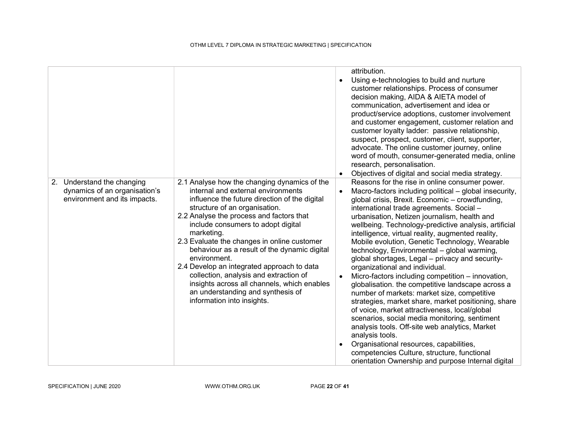|                                                                                             |                                                                                                                                                                                                                                                                                                                                                                                                                                                                                                                                                                                               | $\bullet$<br>$\bullet$              | attribution.<br>Using e-technologies to build and nurture<br>customer relationships. Process of consumer<br>decision making, AIDA & AIETA model of<br>communication, advertisement and idea or<br>product/service adoptions, customer involvement<br>and customer engagement, customer relation and<br>customer loyalty ladder: passive relationship,<br>suspect, prospect, customer, client, supporter,<br>advocate. The online customer journey, online<br>word of mouth, consumer-generated media, online<br>research, personalisation.<br>Objectives of digital and social media strategy.                                                                                                                                                                                                                                                                                                                                                                                                                                                                                                     |
|---------------------------------------------------------------------------------------------|-----------------------------------------------------------------------------------------------------------------------------------------------------------------------------------------------------------------------------------------------------------------------------------------------------------------------------------------------------------------------------------------------------------------------------------------------------------------------------------------------------------------------------------------------------------------------------------------------|-------------------------------------|----------------------------------------------------------------------------------------------------------------------------------------------------------------------------------------------------------------------------------------------------------------------------------------------------------------------------------------------------------------------------------------------------------------------------------------------------------------------------------------------------------------------------------------------------------------------------------------------------------------------------------------------------------------------------------------------------------------------------------------------------------------------------------------------------------------------------------------------------------------------------------------------------------------------------------------------------------------------------------------------------------------------------------------------------------------------------------------------------|
| 2. Understand the changing<br>dynamics of an organisation's<br>environment and its impacts. | 2.1 Analyse how the changing dynamics of the<br>internal and external environments<br>influence the future direction of the digital<br>structure of an organisation.<br>2.2 Analyse the process and factors that<br>include consumers to adopt digital<br>marketing.<br>2.3 Evaluate the changes in online customer<br>behaviour as a result of the dynamic digital<br>environment.<br>2.4 Develop an integrated approach to data<br>collection, analysis and extraction of<br>insights across all channels, which enables<br>an understanding and synthesis of<br>information into insights. | $\bullet$<br>$\bullet$<br>$\bullet$ | Reasons for the rise in online consumer power.<br>Macro-factors including political – global insecurity,<br>global crisis, Brexit. Economic – crowdfunding,<br>international trade agreements. Social -<br>urbanisation, Netizen journalism, health and<br>wellbeing. Technology-predictive analysis, artificial<br>intelligence, virtual reality, augmented reality,<br>Mobile evolution, Genetic Technology, Wearable<br>technology, Environmental - global warming,<br>global shortages, Legal – privacy and security-<br>organizational and individual.<br>Micro-factors including competition - innovation,<br>globalisation. the competitive landscape across a<br>number of markets: market size, competitive<br>strategies, market share, market positioning, share<br>of voice, market attractiveness, local/global<br>scenarios, social media monitoring, sentiment<br>analysis tools. Off-site web analytics, Market<br>analysis tools.<br>Organisational resources, capabilities,<br>competencies Culture, structure, functional<br>orientation Ownership and purpose Internal digital |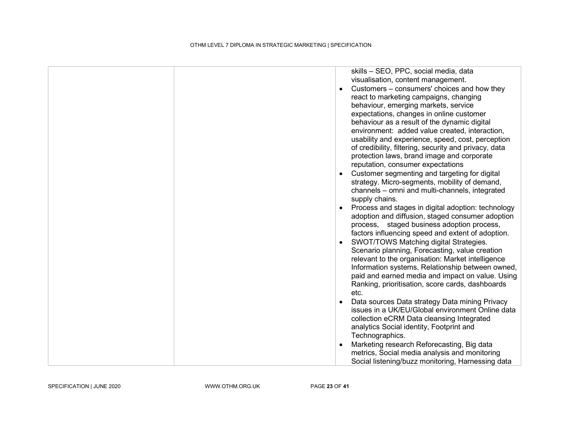|  | skills - SEO, PPC, social media, data<br>visualisation, content management.<br>Customers – consumers' choices and how they<br>react to marketing campaigns, changing<br>behaviour, emerging markets, service<br>expectations, changes in online customer<br>behaviour as a result of the dynamic digital<br>environment: added value created, interaction,<br>usability and experience, speed, cost, perception<br>of credibility, filtering, security and privacy, data<br>protection laws, brand image and corporate<br>reputation, consumer expectations<br>Customer segmenting and targeting for digital |
|--|--------------------------------------------------------------------------------------------------------------------------------------------------------------------------------------------------------------------------------------------------------------------------------------------------------------------------------------------------------------------------------------------------------------------------------------------------------------------------------------------------------------------------------------------------------------------------------------------------------------|
|  | strategy. Micro-segments, mobility of demand,<br>channels - omni and multi-channels, integrated<br>supply chains.                                                                                                                                                                                                                                                                                                                                                                                                                                                                                            |
|  | Process and stages in digital adoption: technology<br>adoption and diffusion, staged consumer adoption<br>process, staged business adoption process,<br>factors influencing speed and extent of adoption.<br>SWOT/TOWS Matching digital Strategies.<br>Scenario planning, Forecasting, value creation                                                                                                                                                                                                                                                                                                        |
|  | relevant to the organisation: Market intelligence<br>Information systems, Relationship between owned,<br>paid and earned media and impact on value. Using<br>Ranking, prioritisation, score cards, dashboards<br>etc.                                                                                                                                                                                                                                                                                                                                                                                        |
|  | Data sources Data strategy Data mining Privacy<br>issues in a UK/EU/Global environment Online data<br>collection eCRM Data cleansing Integrated<br>analytics Social identity, Footprint and<br>Technographics.                                                                                                                                                                                                                                                                                                                                                                                               |
|  | Marketing research Reforecasting, Big data<br>metrics, Social media analysis and monitoring<br>Social listening/buzz monitoring, Harnessing data                                                                                                                                                                                                                                                                                                                                                                                                                                                             |

SPECIFICATION | JUNE 2020 WWW.OTHM.ORG.UK PAGE 23 OF 41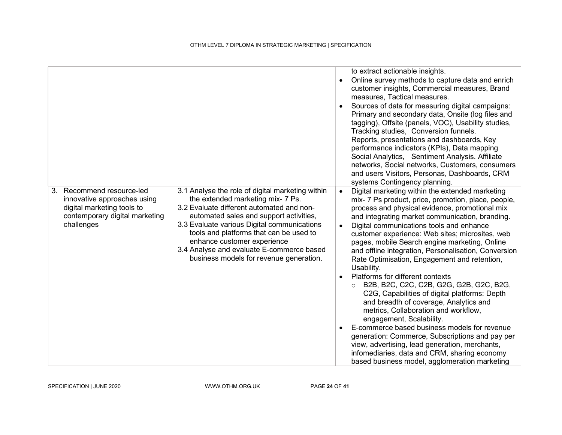|    |                                                                                                                                     |                                                                                                                                                                                                                                                                                                                                                                                                | $\bullet$                                        | to extract actionable insights.<br>Online survey methods to capture data and enrich<br>customer insights, Commercial measures, Brand<br>measures, Tactical measures.<br>Sources of data for measuring digital campaigns:<br>Primary and secondary data, Onsite (log files and<br>tagging), Offsite (panels, VOC), Usability studies,<br>Tracking studies, Conversion funnels.<br>Reports, presentations and dashboards, Key<br>performance indicators (KPIs), Data mapping<br>Social Analytics, Sentiment Analysis. Affiliate<br>networks, Social networks, Customers, consumers<br>and users Visitors, Personas, Dashboards, CRM<br>systems Contingency planning.                                                                                                                                                                                                                                                                                                                    |
|----|-------------------------------------------------------------------------------------------------------------------------------------|------------------------------------------------------------------------------------------------------------------------------------------------------------------------------------------------------------------------------------------------------------------------------------------------------------------------------------------------------------------------------------------------|--------------------------------------------------|---------------------------------------------------------------------------------------------------------------------------------------------------------------------------------------------------------------------------------------------------------------------------------------------------------------------------------------------------------------------------------------------------------------------------------------------------------------------------------------------------------------------------------------------------------------------------------------------------------------------------------------------------------------------------------------------------------------------------------------------------------------------------------------------------------------------------------------------------------------------------------------------------------------------------------------------------------------------------------------|
| 3. | Recommend resource-led<br>innovative approaches using<br>digital marketing tools to<br>contemporary digital marketing<br>challenges | 3.1 Analyse the role of digital marketing within<br>the extended marketing mix- 7 Ps.<br>3.2 Evaluate different automated and non-<br>automated sales and support activities,<br>3.3 Evaluate various Digital communications<br>tools and platforms that can be used to<br>enhance customer experience<br>3.4 Analyse and evaluate E-commerce based<br>business models for revenue generation. | $\bullet$<br>$\bullet$<br>$\bullet$<br>$\bullet$ | Digital marketing within the extended marketing<br>mix- 7 Ps product, price, promotion, place, people,<br>process and physical evidence, promotional mix<br>and integrating market communication, branding.<br>Digital communications tools and enhance<br>customer experience: Web sites; microsites, web<br>pages, mobile Search engine marketing, Online<br>and offline integration, Personalisation, Conversion<br>Rate Optimisation, Engagement and retention,<br>Usability.<br>Platforms for different contexts<br>B2B, B2C, C2C, C2B, G2G, G2B, G2C, B2G,<br>C2G, Capabilities of digital platforms: Depth<br>and breadth of coverage, Analytics and<br>metrics, Collaboration and workflow,<br>engagement, Scalability.<br>E-commerce based business models for revenue<br>generation: Commerce, Subscriptions and pay per<br>view, advertising, lead generation, merchants,<br>infomediaries, data and CRM, sharing economy<br>based business model, agglomeration marketing |

SPECIFICATION | JUNE 2020 WWW.OTHM.ORG.UK PAGE 24 OF 41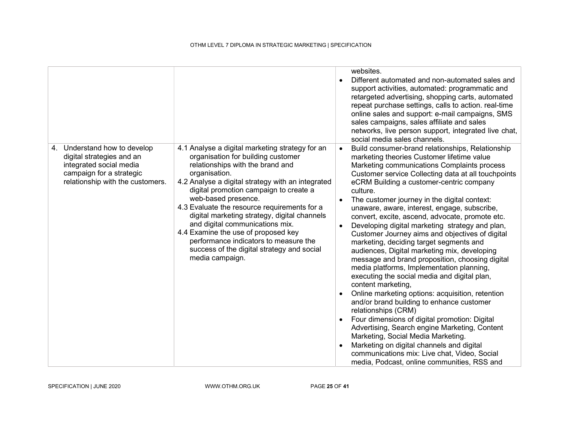|                                                                                                                                                      |                                                                                                                                                                                                                                                                                                                                                                                                                                                                                                                                                      | $\bullet$                                        | websites.<br>Different automated and non-automated sales and<br>support activities, automated: programmatic and<br>retargeted advertising, shopping carts, automated<br>repeat purchase settings, calls to action. real-time<br>online sales and support: e-mail campaigns, SMS<br>sales campaigns, sales affiliate and sales<br>networks, live person support, integrated live chat,<br>social media sales channels.                                                                                                                                                                                                                                                                                                                                                                                                                                                                                                                                                                                                                                                                                                                                                                              |
|------------------------------------------------------------------------------------------------------------------------------------------------------|------------------------------------------------------------------------------------------------------------------------------------------------------------------------------------------------------------------------------------------------------------------------------------------------------------------------------------------------------------------------------------------------------------------------------------------------------------------------------------------------------------------------------------------------------|--------------------------------------------------|----------------------------------------------------------------------------------------------------------------------------------------------------------------------------------------------------------------------------------------------------------------------------------------------------------------------------------------------------------------------------------------------------------------------------------------------------------------------------------------------------------------------------------------------------------------------------------------------------------------------------------------------------------------------------------------------------------------------------------------------------------------------------------------------------------------------------------------------------------------------------------------------------------------------------------------------------------------------------------------------------------------------------------------------------------------------------------------------------------------------------------------------------------------------------------------------------|
| 4. Understand how to develop<br>digital strategies and an<br>integrated social media<br>campaign for a strategic<br>relationship with the customers. | 4.1 Analyse a digital marketing strategy for an<br>organisation for building customer<br>relationships with the brand and<br>organisation.<br>4.2 Analyse a digital strategy with an integrated<br>digital promotion campaign to create a<br>web-based presence.<br>4.3 Evaluate the resource requirements for a<br>digital marketing strategy, digital channels<br>and digital communications mix.<br>4.4 Examine the use of proposed key<br>performance indicators to measure the<br>success of the digital strategy and social<br>media campaign. | $\bullet$<br>$\bullet$<br>$\bullet$<br>$\bullet$ | Build consumer-brand relationships, Relationship<br>marketing theories Customer lifetime value<br>Marketing communications Complaints process<br>Customer service Collecting data at all touchpoints<br>eCRM Building a customer-centric company<br>culture.<br>The customer journey in the digital context:<br>unaware, aware, interest, engage, subscribe,<br>convert, excite, ascend, advocate, promote etc.<br>Developing digital marketing strategy and plan,<br>Customer Journey aims and objectives of digital<br>marketing, deciding target segments and<br>audiences, Digital marketing mix, developing<br>message and brand proposition, choosing digital<br>media platforms, Implementation planning,<br>executing the social media and digital plan,<br>content marketing,<br>Online marketing options: acquisition, retention<br>and/or brand building to enhance customer<br>relationships (CRM)<br>Four dimensions of digital promotion: Digital<br>Advertising, Search engine Marketing, Content<br>Marketing, Social Media Marketing.<br>Marketing on digital channels and digital<br>communications mix: Live chat, Video, Social<br>media, Podcast, online communities, RSS and |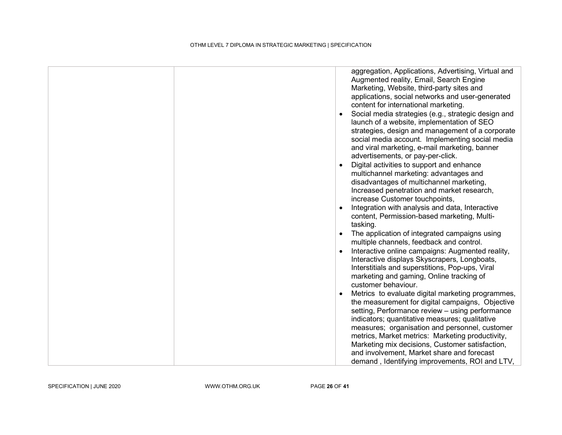| aggregation, Applications, Advertising, Virtual and<br>Augmented reality, Email, Search Engine<br>Marketing, Website, third-party sites and<br>applications, social networks and user-generated<br>content for international marketing.<br>Social media strategies (e.g., strategic design and<br>launch of a website, implementation of SEO<br>strategies, design and management of a corporate<br>social media account. Implementing social media<br>and viral marketing, e-mail marketing, banner<br>advertisements, or pay-per-click.<br>Digital activities to support and enhance<br>multichannel marketing: advantages and<br>disadvantages of multichannel marketing,<br>Increased penetration and market research,<br>increase Customer touchpoints,<br>Integration with analysis and data, Interactive<br>content, Permission-based marketing, Multi- |
|----------------------------------------------------------------------------------------------------------------------------------------------------------------------------------------------------------------------------------------------------------------------------------------------------------------------------------------------------------------------------------------------------------------------------------------------------------------------------------------------------------------------------------------------------------------------------------------------------------------------------------------------------------------------------------------------------------------------------------------------------------------------------------------------------------------------------------------------------------------|
| tasking.<br>The application of integrated campaigns using                                                                                                                                                                                                                                                                                                                                                                                                                                                                                                                                                                                                                                                                                                                                                                                                      |
| multiple channels, feedback and control.<br>Interactive online campaigns: Augmented reality,                                                                                                                                                                                                                                                                                                                                                                                                                                                                                                                                                                                                                                                                                                                                                                   |
| Interactive displays Skyscrapers, Longboats,<br>Interstitials and superstitions, Pop-ups, Viral<br>marketing and gaming, Online tracking of<br>customer behaviour.                                                                                                                                                                                                                                                                                                                                                                                                                                                                                                                                                                                                                                                                                             |
| Metrics to evaluate digital marketing programmes,                                                                                                                                                                                                                                                                                                                                                                                                                                                                                                                                                                                                                                                                                                                                                                                                              |
| the measurement for digital campaigns, Objective<br>setting, Performance review - using performance                                                                                                                                                                                                                                                                                                                                                                                                                                                                                                                                                                                                                                                                                                                                                            |
| indicators; quantitative measures; qualitative                                                                                                                                                                                                                                                                                                                                                                                                                                                                                                                                                                                                                                                                                                                                                                                                                 |
| measures; organisation and personnel, customer<br>metrics, Market metrics: Marketing productivity,                                                                                                                                                                                                                                                                                                                                                                                                                                                                                                                                                                                                                                                                                                                                                             |
| Marketing mix decisions, Customer satisfaction,                                                                                                                                                                                                                                                                                                                                                                                                                                                                                                                                                                                                                                                                                                                                                                                                                |
| and involvement, Market share and forecast<br>demand, Identifying improvements, ROI and LTV,                                                                                                                                                                                                                                                                                                                                                                                                                                                                                                                                                                                                                                                                                                                                                                   |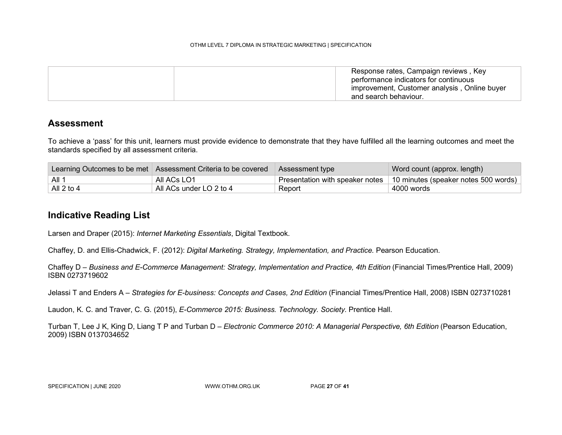Response rates, Campaign reviews , Key performance indicators for continuous improvement, Customer analysis , Online buyer and search behaviour.

#### **Assessment**

To achieve a 'pass' for this unit, learners must provide evidence to demonstrate that they have fulfilled all the learning outcomes and meet the standards specified by all assessment criteria.

|            | Learning Outcomes to be met   Assessment Criteria to be covered | Assessment type | Word count (approx. length)                                            |
|------------|-----------------------------------------------------------------|-----------------|------------------------------------------------------------------------|
| ∣All 1     | All ACs LO1                                                     |                 | Presentation with speaker notes   10 minutes (speaker notes 500 words) |
| All 2 to 4 | All ACs under LO 2 to 4                                         | Report          | 4000 words                                                             |

#### Indicative Reading List

Larsen and Draper (2015): Internet Marketing Essentials, Digital Textbook.

Chaffey, D. and Ellis-Chadwick, F. (2012): Digital Marketing. Strategy, Implementation, and Practice. Pearson Education.

Chaffey D – Business and E-Commerce Management: Strategy, Implementation and Practice, 4th Edition (Financial Times/Prentice Hall, 2009) ISBN 0273719602

Jelassi T and Enders A – Strategies for E-business: Concepts and Cases, 2nd Edition (Financial Times/Prentice Hall, 2008) ISBN 0273710281

Laudon, K. C. and Traver, C. G. (2015), E-Commerce 2015: Business. Technology. Society. Prentice Hall.

Turban T, Lee J K, King D, Liang T P and Turban D – Electronic Commerce 2010: A Managerial Perspective, 6th Edition (Pearson Education, 2009) ISBN 0137034652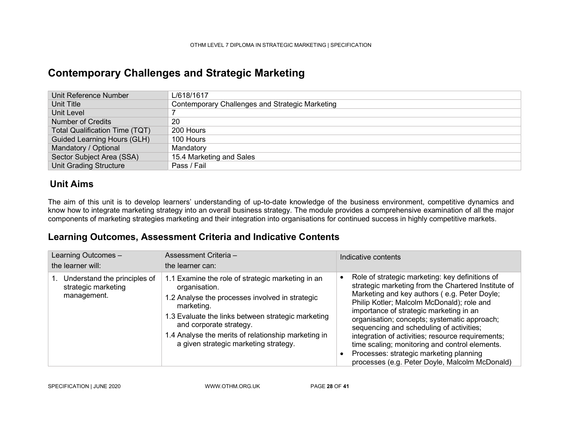### Contemporary Challenges and Strategic Marketing

| Unit Reference Number                 | L/618/1617                                      |
|---------------------------------------|-------------------------------------------------|
| Unit Title                            | Contemporary Challenges and Strategic Marketing |
| Unit Level                            |                                                 |
| Number of Credits                     | 20                                              |
| <b>Total Qualification Time (TQT)</b> | 200 Hours                                       |
| Guided Learning Hours (GLH)           | 100 Hours                                       |
| Mandatory / Optional                  | Mandatory                                       |
| Sector Subject Area (SSA)             | 15.4 Marketing and Sales                        |
| <b>Unit Grading Structure</b>         | Pass / Fail                                     |

### Unit Aims

The aim of this unit is to develop learners' understanding of up-to-date knowledge of the business environment, competitive dynamics and know how to integrate marketing strategy into an overall business strategy. The module provides a comprehensive examination of all the major components of marketing strategies marketing and their integration into organisations for continued success in highly competitive markets.

### Learning Outcomes, Assessment Criteria and Indicative Contents

| Learning Outcomes -<br>the learner will:                           | Assessment Criteria -<br>the learner can:                                                                                                                                                                                                                                                                            | Indicative contents                                                                                                                                                                                                                                                                                                                                                                                                                                                                                                                                  |
|--------------------------------------------------------------------|----------------------------------------------------------------------------------------------------------------------------------------------------------------------------------------------------------------------------------------------------------------------------------------------------------------------|------------------------------------------------------------------------------------------------------------------------------------------------------------------------------------------------------------------------------------------------------------------------------------------------------------------------------------------------------------------------------------------------------------------------------------------------------------------------------------------------------------------------------------------------------|
| Understand the principles of<br>strategic marketing<br>management. | 1.1 Examine the role of strategic marketing in an<br>organisation.<br>1.2 Analyse the processes involved in strategic<br>marketing.<br>1.3 Evaluate the links between strategic marketing<br>and corporate strategy.<br>1.4 Analyse the merits of relationship marketing in<br>a given strategic marketing strategy. | Role of strategic marketing: key definitions of<br>٠<br>strategic marketing from the Chartered Institute of<br>Marketing and key authors (e.g. Peter Doyle;<br>Philip Kotler; Malcolm McDonald); role and<br>importance of strategic marketing in an<br>organisation; concepts; systematic approach;<br>sequencing and scheduling of activities;<br>integration of activities; resource requirements;<br>time scaling; monitoring and control elements.<br>Processes: strategic marketing planning<br>processes (e.g. Peter Doyle, Malcolm McDonald) |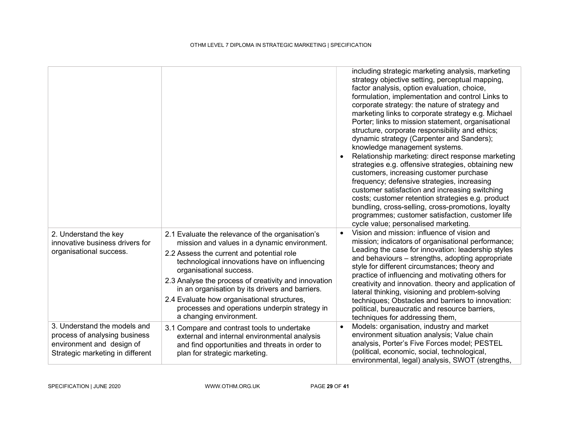|                                                                                                                                |                                                                                                                                                                                                                                                                                                                                                                                                                                                                 |           | including strategic marketing analysis, marketing<br>strategy objective setting, perceptual mapping,<br>factor analysis, option evaluation, choice,<br>formulation, implementation and control Links to<br>corporate strategy: the nature of strategy and<br>marketing links to corporate strategy e.g. Michael<br>Porter; links to mission statement, organisational<br>structure, corporate responsibility and ethics;<br>dynamic strategy (Carpenter and Sanders);<br>knowledge management systems.<br>Relationship marketing: direct response marketing<br>strategies e.g. offensive strategies, obtaining new<br>customers, increasing customer purchase<br>frequency; defensive strategies, increasing<br>customer satisfaction and increasing switching<br>costs; customer retention strategies e.g. product<br>bundling, cross-selling, cross-promotions, loyalty<br>programmes; customer satisfaction, customer life<br>cycle value; personalised marketing. |
|--------------------------------------------------------------------------------------------------------------------------------|-----------------------------------------------------------------------------------------------------------------------------------------------------------------------------------------------------------------------------------------------------------------------------------------------------------------------------------------------------------------------------------------------------------------------------------------------------------------|-----------|-----------------------------------------------------------------------------------------------------------------------------------------------------------------------------------------------------------------------------------------------------------------------------------------------------------------------------------------------------------------------------------------------------------------------------------------------------------------------------------------------------------------------------------------------------------------------------------------------------------------------------------------------------------------------------------------------------------------------------------------------------------------------------------------------------------------------------------------------------------------------------------------------------------------------------------------------------------------------|
| 2. Understand the key<br>innovative business drivers for<br>organisational success.                                            | 2.1 Evaluate the relevance of the organisation's<br>mission and values in a dynamic environment.<br>2.2 Assess the current and potential role<br>technological innovations have on influencing<br>organisational success.<br>2.3 Analyse the process of creativity and innovation<br>in an organisation by its drivers and barriers.<br>2.4 Evaluate how organisational structures,<br>processes and operations underpin strategy in<br>a changing environment. |           | Vision and mission: influence of vision and<br>mission; indicators of organisational performance;<br>Leading the case for innovation: leadership styles<br>and behaviours – strengths, adopting appropriate<br>style for different circumstances; theory and<br>practice of influencing and motivating others for<br>creativity and innovation. theory and application of<br>lateral thinking, visioning and problem-solving<br>techniques; Obstacles and barriers to innovation:<br>political, bureaucratic and resource barriers,<br>techniques for addressing them,                                                                                                                                                                                                                                                                                                                                                                                                |
| 3. Understand the models and<br>process of analysing business<br>environment and design of<br>Strategic marketing in different | 3.1 Compare and contrast tools to undertake<br>external and internal environmental analysis<br>and find opportunities and threats in order to<br>plan for strategic marketing.                                                                                                                                                                                                                                                                                  | $\bullet$ | Models: organisation, industry and market<br>environment situation analysis; Value chain<br>analysis, Porter's Five Forces model; PESTEL<br>(political, economic, social, technological,<br>environmental, legal) analysis, SWOT (strengths,                                                                                                                                                                                                                                                                                                                                                                                                                                                                                                                                                                                                                                                                                                                          |

SPECIFICATION | JUNE 2020 WWW.OTHM.ORG.UK PAGE 29 OF 41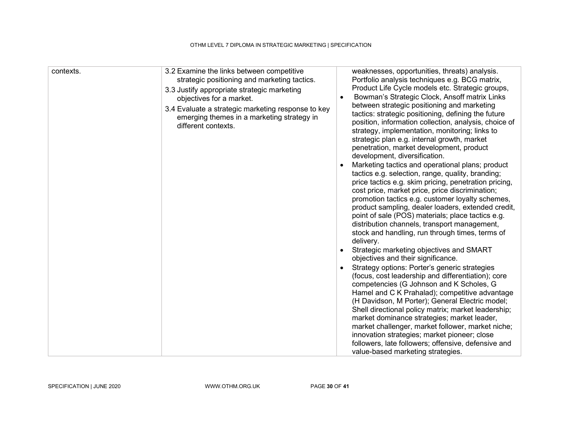| contexts. | 3.2 Examine the links between competitive<br>strategic positioning and marketing tactics.<br>3.3 Justify appropriate strategic marketing<br>objectives for a market.<br>3.4 Evaluate a strategic marketing response to key<br>emerging themes in a marketing strategy in<br>different contexts. | weaknesses, opportunities, threats) analysis.<br>Portfolio analysis techniques e.g. BCG matrix,<br>Product Life Cycle models etc. Strategic groups,<br>Bowman's Strategic Clock, Ansoff matrix Links<br>between strategic positioning and marketing<br>tactics: strategic positioning, defining the future<br>position, information collection, analysis, choice of<br>strategy, implementation, monitoring; links to<br>strategic plan e.g. internal growth, market<br>penetration, market development, product<br>development, diversification.<br>Marketing tactics and operational plans; product<br>tactics e.g. selection, range, quality, branding;<br>price tactics e.g. skim pricing, penetration pricing,<br>cost price, market price, price discrimination;<br>promotion tactics e.g. customer loyalty schemes,<br>product sampling, dealer loaders, extended credit,<br>point of sale (POS) materials; place tactics e.g.<br>distribution channels, transport management,<br>stock and handling, run through times, terms of<br>delivery.<br>Strategic marketing objectives and SMART<br>objectives and their significance.<br>Strategy options: Porter's generic strategies<br>(focus, cost leadership and differentiation); core<br>competencies (G Johnson and K Scholes, G<br>Hamel and C K Prahalad); competitive advantage<br>(H Davidson, M Porter); General Electric model;<br>Shell directional policy matrix; market leadership;<br>market dominance strategies; market leader,<br>market challenger, market follower, market niche;<br>innovation strategies; market pioneer; close<br>followers, late followers; offensive, defensive and<br>value-based marketing strategies. |
|-----------|-------------------------------------------------------------------------------------------------------------------------------------------------------------------------------------------------------------------------------------------------------------------------------------------------|--------------------------------------------------------------------------------------------------------------------------------------------------------------------------------------------------------------------------------------------------------------------------------------------------------------------------------------------------------------------------------------------------------------------------------------------------------------------------------------------------------------------------------------------------------------------------------------------------------------------------------------------------------------------------------------------------------------------------------------------------------------------------------------------------------------------------------------------------------------------------------------------------------------------------------------------------------------------------------------------------------------------------------------------------------------------------------------------------------------------------------------------------------------------------------------------------------------------------------------------------------------------------------------------------------------------------------------------------------------------------------------------------------------------------------------------------------------------------------------------------------------------------------------------------------------------------------------------------------------------------------------------------------------------------------------------------------|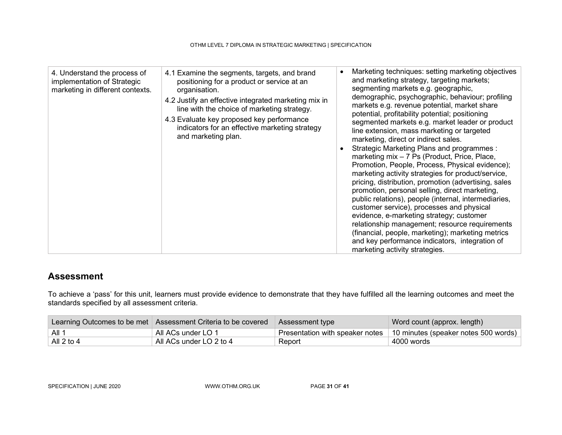| 4. Understand the process of<br>implementation of Strategic<br>marketing in different contexts. | 4.1 Examine the segments, targets, and brand<br>positioning for a product or service at an<br>organisation.<br>4.2 Justify an effective integrated marketing mix in<br>line with the choice of marketing strategy.<br>4.3 Evaluate key proposed key performance<br>indicators for an effective marketing strategy<br>and marketing plan. | $\bullet$<br>$\bullet$ | Marketing techniques: setting marketing objectives<br>and marketing strategy, targeting markets;<br>segmenting markets e.g. geographic,<br>demographic, psychographic, behaviour; profiling<br>markets e.g. revenue potential, market share<br>potential, profitability potential; positioning<br>segmented markets e.g. market leader or product<br>line extension, mass marketing or targeted<br>marketing, direct or indirect sales.<br>Strategic Marketing Plans and programmes :<br>marketing mix - 7 Ps (Product, Price, Place,<br>Promotion, People, Process, Physical evidence);<br>marketing activity strategies for product/service,<br>pricing, distribution, promotion (advertising, sales<br>promotion, personal selling, direct marketing,<br>public relations), people (internal, intermediaries,<br>customer service), processes and physical<br>evidence, e-marketing strategy; customer<br>relationship management; resource requirements<br>(financial, people, marketing); marketing metrics<br>and key performance indicators, integration of<br>marketing activity strategies. |
|-------------------------------------------------------------------------------------------------|------------------------------------------------------------------------------------------------------------------------------------------------------------------------------------------------------------------------------------------------------------------------------------------------------------------------------------------|------------------------|------------------------------------------------------------------------------------------------------------------------------------------------------------------------------------------------------------------------------------------------------------------------------------------------------------------------------------------------------------------------------------------------------------------------------------------------------------------------------------------------------------------------------------------------------------------------------------------------------------------------------------------------------------------------------------------------------------------------------------------------------------------------------------------------------------------------------------------------------------------------------------------------------------------------------------------------------------------------------------------------------------------------------------------------------------------------------------------------------|

### Assessment

To achieve a 'pass' for this unit, learners must provide evidence to demonstrate that they have fulfilled all the learning outcomes and meet the standards specified by all assessment criteria.

|            | Learning Outcomes to be met   Assessment Criteria to be covered | Assessment type | Word count (approx. length)                                            |
|------------|-----------------------------------------------------------------|-----------------|------------------------------------------------------------------------|
| ⊺ All 1    | ⊦ All ACs under LO 1                                            |                 | Presentation with speaker notes   10 minutes (speaker notes 500 words) |
| All 2 to 4 | All ACs under LO 2 to 4                                         | Report          | 4000 words                                                             |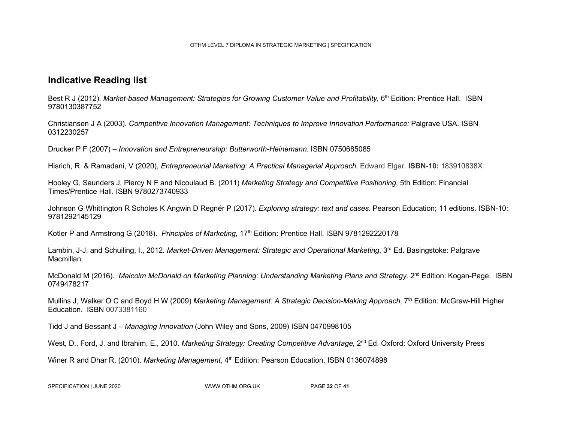#### Indicative Reading list

Best R J (2012). Market-based Management: Strategies for Growing Customer Value and Profitability, 6<sup>th</sup> Edition: Prentice Hall. ISBN 9780130387752

Christiansen J A (2003). Competitive Innovation Management: Techniques to Improve Innovation Performance: Palgrave USA. ISBN 0312230257

Drucker P F (2007) – Innovation and Entrepreneurship: Butterworth-Heinemann. ISBN 0750685085

Hisrich, R. & Ramadani, V (2020), *Entrepreneurial Marketing: A Practical Managerial Approach*. Edward Elgar. **ISBN-10:** 183910838X

Hooley G, Saunders J, Piercy N F and Nicoulaud B. (2011) Marketing Strategy and Competitive Positioning, 5th Edition: Financial Times/Prentice Hall. ISBN 9780273740933

Johnson G Whittington R Scholes K Angwin D Regnér P (2017). Exploring strategy: text and cases. Pearson Education; 11 editions. ISBN-10: 9781292145129

Kotler P and Armstrong G (2018). Principles of Marketing, 17<sup>th</sup> Edition: Prentice Hall, ISBN 9781292220178

Lambin, J-J. and Schuiling, I., 2012. Market-Driven Management: Strategic and Operational Marketing, 3<sup>rd</sup> Ed. Basingstoke: Palgrave **Macmillan** 

McDonald M (2016). Malcolm McDonald on Marketing Planning: Understanding Marketing Plans and Strategy. 2<sup>nd</sup> Edition: Kogan-Page. ISBN 0749478217

Mullins J, Walker O C and Boyd H W (2009) Marketing Management: A Strategic Decision-Making Approach, 7<sup>th</sup> Edition: McGraw-Hill Higher Education. ISBN 0073381160

Tidd J and Bessant J – Managing Innovation (John Wiley and Sons, 2009) ISBN 0470998105

West, D., Ford, J. and Ibrahim, E., 2010. Marketing Strategy: Creating Competitive Advantage, 2<sup>nd</sup> Ed. Oxford: Oxford University Press

Winer R and Dhar R. (2010). Marketing Management, 4<sup>th</sup> Edition: Pearson Education, ISBN 0136074898

SPECIFICATION | JUNE 2020 WWW.OTHM.ORG.UK PAGE 32 OF 41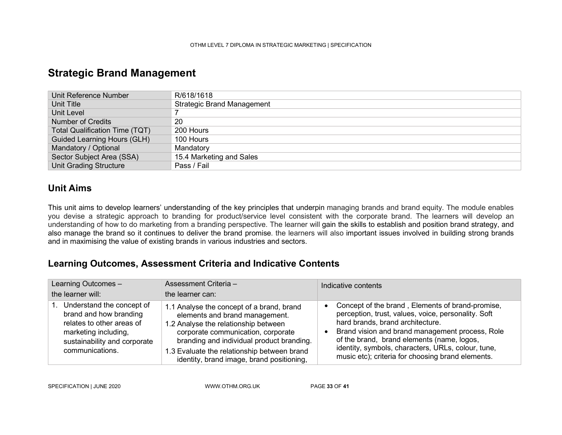### Strategic Brand Management

| Unit Reference Number                 | R/618/1618                        |
|---------------------------------------|-----------------------------------|
| Unit Title                            | <b>Strategic Brand Management</b> |
| Unit Level                            |                                   |
| <b>Number of Credits</b>              | 20                                |
| <b>Total Qualification Time (TQT)</b> | 200 Hours                         |
| <b>Guided Learning Hours (GLH)</b>    | 100 Hours                         |
| Mandatory / Optional                  | Mandatory                         |
| Sector Subject Area (SSA)             | 15.4 Marketing and Sales          |
| <b>Unit Grading Structure</b>         | Pass / Fail                       |

#### Unit Aims

This unit aims to develop learners' understanding of the key principles that underpin managing brands and brand equity. The module enables you devise a strategic approach to branding for product/service level consistent with the corporate brand. The learners will develop an understanding of how to do marketing from a branding perspective. The learner will gain the skills to establish and position brand strategy, and also manage the brand so it continues to deliver the brand promise. the learners will also important issues involved in building strong brands and in maximising the value of existing brands in various industries and sectors.

### Learning Outcomes, Assessment Criteria and Indicative Contents

| Learning Outcomes -<br>the learner will:                                                                                                                       | Assessment Criteria -<br>the learner can:                                                                                                                                                                                                                                                          | Indicative contents                                                                                                                                                                                                                                                                                                                                     |
|----------------------------------------------------------------------------------------------------------------------------------------------------------------|----------------------------------------------------------------------------------------------------------------------------------------------------------------------------------------------------------------------------------------------------------------------------------------------------|---------------------------------------------------------------------------------------------------------------------------------------------------------------------------------------------------------------------------------------------------------------------------------------------------------------------------------------------------------|
| 1. Understand the concept of<br>brand and how branding<br>relates to other areas of<br>marketing including,<br>sustainability and corporate<br>communications. | 1.1 Analyse the concept of a brand, brand<br>elements and brand management.<br>1.2 Analyse the relationship between<br>corporate communication, corporate<br>branding and individual product branding.<br>1.3 Evaluate the relationship between brand<br>identity, brand image, brand positioning, | Concept of the brand, Elements of brand-promise,<br>perception, trust, values, voice, personality. Soft<br>hard brands, brand architecture.<br>Brand vision and brand management process, Role<br>of the brand, brand elements (name, logos,<br>identity, symbols, characters, URLs, colour, tune,<br>music etc); criteria for choosing brand elements. |

SPECIFICATION | JUNE 2020 WWW.OTHM.ORG.UK PAGE 33 OF 41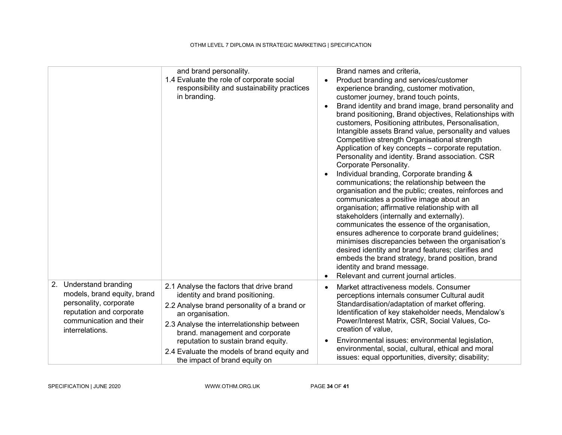| 1.4 Evaluate the role of corporate social<br>responsibility and sustainability practices<br>in branding.                                                                                                                                                                                                             | Brand names and criteria,<br>Product branding and services/customer<br>$\bullet$<br>experience branding, customer motivation,<br>customer journey, brand touch points,<br>Brand identity and brand image, brand personality and<br>$\bullet$<br>brand positioning, Brand objectives, Relationships with<br>customers, Positioning attributes, Personalisation,<br>Intangible assets Brand value, personality and values<br>Competitive strength Organisational strength<br>Application of key concepts – corporate reputation.<br>Personality and identity. Brand association. CSR<br>Corporate Personality.<br>Individual branding, Corporate branding &<br>$\bullet$<br>communications; the relationship between the<br>organisation and the public; creates, reinforces and<br>communicates a positive image about an<br>organisation; affirmative relationship with all<br>stakeholders (internally and externally).<br>communicates the essence of the organisation,<br>ensures adherence to corporate brand guidelines;<br>minimises discrepancies between the organisation's<br>desired identity and brand features; clarifies and<br>embeds the brand strategy, brand position, brand<br>identity and brand message.<br>Relevant and current journal articles.<br>$\bullet$ |
|----------------------------------------------------------------------------------------------------------------------------------------------------------------------------------------------------------------------------------------------------------------------------------------------------------------------|-------------------------------------------------------------------------------------------------------------------------------------------------------------------------------------------------------------------------------------------------------------------------------------------------------------------------------------------------------------------------------------------------------------------------------------------------------------------------------------------------------------------------------------------------------------------------------------------------------------------------------------------------------------------------------------------------------------------------------------------------------------------------------------------------------------------------------------------------------------------------------------------------------------------------------------------------------------------------------------------------------------------------------------------------------------------------------------------------------------------------------------------------------------------------------------------------------------------------------------------------------------------------------------|
| 2.1 Analyse the factors that drive brand<br>identity and brand positioning.<br>2.2 Analyse brand personality of a brand or<br>an organisation.<br>2.3 Analyse the interrelationship between<br>brand. management and corporate<br>reputation to sustain brand equity.<br>2.4 Evaluate the models of brand equity and | Market attractiveness models. Consumer<br>$\bullet$<br>perceptions internals consumer Cultural audit<br>Standardisation/adaptation of market offering.<br>Identification of key stakeholder needs, Mendalow's<br>Power/Interest Matrix, CSR, Social Values, Co-<br>creation of value.<br>Environmental issues: environmental legislation,<br>$\bullet$<br>environmental, social, cultural, ethical and moral<br>issues: equal opportunities, diversity; disability;                                                                                                                                                                                                                                                                                                                                                                                                                                                                                                                                                                                                                                                                                                                                                                                                                 |
|                                                                                                                                                                                                                                                                                                                      | and brand personality.<br>the impact of brand equity on                                                                                                                                                                                                                                                                                                                                                                                                                                                                                                                                                                                                                                                                                                                                                                                                                                                                                                                                                                                                                                                                                                                                                                                                                             |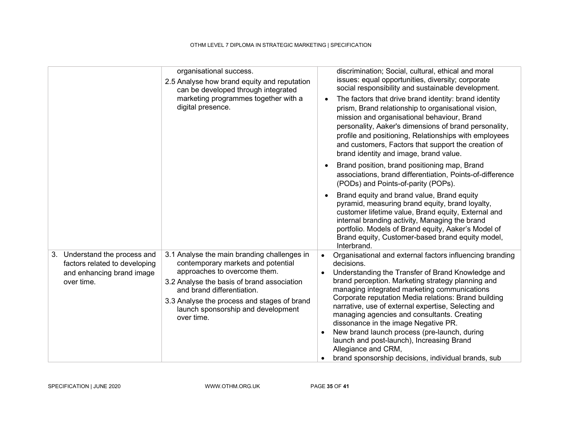|                                                                                                              | organisational success.<br>2.5 Analyse how brand equity and reputation<br>can be developed through integrated<br>marketing programmes together with a<br>digital presence.                                                                                                                       | discrimination; Social, cultural, ethical and moral<br>issues: equal opportunities, diversity; corporate<br>social responsibility and sustainable development.<br>The factors that drive brand identity: brand identity<br>$\bullet$<br>prism, Brand relationship to organisational vision,<br>mission and organisational behaviour, Brand<br>personality, Aaker's dimensions of brand personality,<br>profile and positioning, Relationships with employees<br>and customers, Factors that support the creation of<br>brand identity and image, brand value.<br>Brand position, brand positioning map, Brand<br>associations, brand differentiation, Points-of-difference<br>(PODs) and Points-of-parity (POPs).<br>Brand equity and brand value, Brand equity<br>pyramid, measuring brand equity, brand loyalty,<br>customer lifetime value, Brand equity, External and<br>internal branding activity, Managing the brand<br>portfolio. Models of Brand equity, Aaker's Model of<br>Brand equity, Customer-based brand equity model,<br>Interbrand. |
|--------------------------------------------------------------------------------------------------------------|--------------------------------------------------------------------------------------------------------------------------------------------------------------------------------------------------------------------------------------------------------------------------------------------------|-------------------------------------------------------------------------------------------------------------------------------------------------------------------------------------------------------------------------------------------------------------------------------------------------------------------------------------------------------------------------------------------------------------------------------------------------------------------------------------------------------------------------------------------------------------------------------------------------------------------------------------------------------------------------------------------------------------------------------------------------------------------------------------------------------------------------------------------------------------------------------------------------------------------------------------------------------------------------------------------------------------------------------------------------------|
| Understand the process and<br>3.<br>factors related to developing<br>and enhancing brand image<br>over time. | 3.1 Analyse the main branding challenges in<br>contemporary markets and potential<br>approaches to overcome them.<br>3.2 Analyse the basis of brand association<br>and brand differentiation.<br>3.3 Analyse the process and stages of brand<br>launch sponsorship and development<br>over time. | Organisational and external factors influencing branding<br>$\bullet$<br>decisions.<br>Understanding the Transfer of Brand Knowledge and<br>$\bullet$<br>brand perception. Marketing strategy planning and<br>managing integrated marketing communications<br>Corporate reputation Media relations: Brand building<br>narrative, use of external expertise, Selecting and<br>managing agencies and consultants. Creating<br>dissonance in the image Negative PR.<br>New brand launch process (pre-launch, during<br>launch and post-launch), Increasing Brand<br>Allegiance and CRM,<br>brand sponsorship decisions, individual brands, sub                                                                                                                                                                                                                                                                                                                                                                                                           |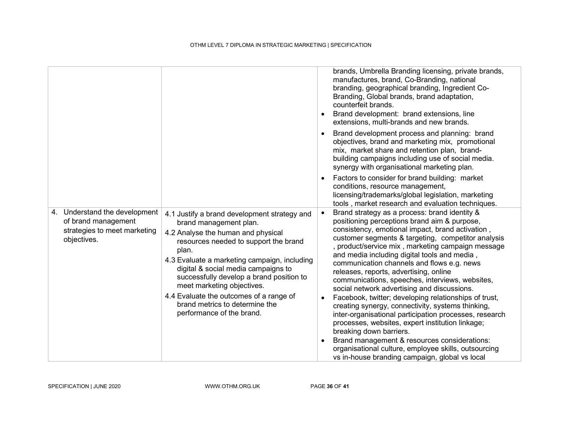|                                                                                                     |                                                                                                                                                                                                                                                                                                                                                                                                                                           |                                     | brands, Umbrella Branding licensing, private brands,<br>manufactures, brand, Co-Branding, national<br>branding, geographical branding, Ingredient Co-<br>Branding, Global brands, brand adaptation,<br>counterfeit brands.<br>Brand development: brand extensions, line<br>extensions, multi-brands and new brands.<br>Brand development process and planning: brand<br>objectives, brand and marketing mix, promotional<br>mix, market share and retention plan, brand-<br>building campaigns including use of social media.<br>synergy with organisational marketing plan.<br>Factors to consider for brand building: market                                                                                                                                                                                                                                                                                          |
|-----------------------------------------------------------------------------------------------------|-------------------------------------------------------------------------------------------------------------------------------------------------------------------------------------------------------------------------------------------------------------------------------------------------------------------------------------------------------------------------------------------------------------------------------------------|-------------------------------------|-------------------------------------------------------------------------------------------------------------------------------------------------------------------------------------------------------------------------------------------------------------------------------------------------------------------------------------------------------------------------------------------------------------------------------------------------------------------------------------------------------------------------------------------------------------------------------------------------------------------------------------------------------------------------------------------------------------------------------------------------------------------------------------------------------------------------------------------------------------------------------------------------------------------------|
|                                                                                                     |                                                                                                                                                                                                                                                                                                                                                                                                                                           |                                     | conditions, resource management,<br>licensing/trademarks/global legislation, marketing<br>tools, market research and evaluation techniques.                                                                                                                                                                                                                                                                                                                                                                                                                                                                                                                                                                                                                                                                                                                                                                             |
| 4. Understand the development<br>of brand management<br>strategies to meet marketing<br>objectives. | 4.1 Justify a brand development strategy and<br>brand management plan.<br>4.2 Analyse the human and physical<br>resources needed to support the brand<br>plan.<br>4.3 Evaluate a marketing campaign, including<br>digital & social media campaigns to<br>successfully develop a brand position to<br>meet marketing objectives.<br>4.4 Evaluate the outcomes of a range of<br>brand metrics to determine the<br>performance of the brand. | $\bullet$<br>$\bullet$<br>$\bullet$ | Brand strategy as a process: brand identity &<br>positioning perceptions brand aim & purpose,<br>consistency, emotional impact, brand activation,<br>customer segments & targeting, competitor analysis<br>, product/service mix, marketing campaign message<br>and media including digital tools and media,<br>communication channels and flows e.g. news<br>releases, reports, advertising, online<br>communications, speeches, interviews, websites,<br>social network advertising and discussions.<br>Facebook, twitter; developing relationships of trust,<br>creating synergy, connectivity, systems thinking,<br>inter-organisational participation processes, research<br>processes, websites, expert institution linkage;<br>breaking down barriers.<br>Brand management & resources considerations:<br>organisational culture, employee skills, outsourcing<br>vs in-house branding campaign, global vs local |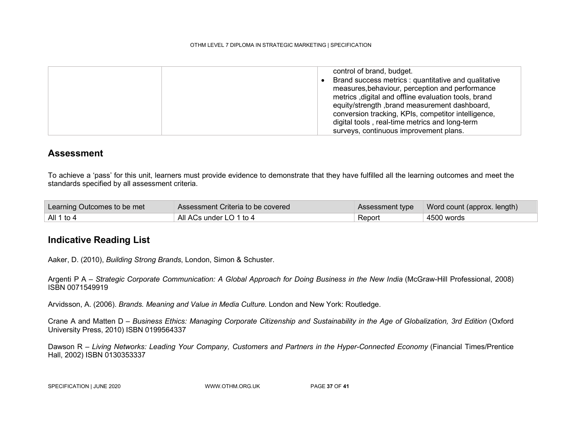| control of brand, budget.                            |
|------------------------------------------------------|
| Brand success metrics : quantitative and qualitative |
| measures, behaviour, perception and performance      |
| metrics, digital and offline evaluation tools, brand |
| equity/strength, brand measurement dashboard,        |
| conversion tracking, KPIs, competitor intelligence,  |
| digital tools, real-time metrics and long-term       |
| surveys, continuous improvement plans.               |

#### **Assessment**

To achieve a 'pass' for this unit, learners must provide evidence to demonstrate that they have fulfilled all the learning outcomes and meet the standards specified by all assessment criteria.

| Learning Outcomes to be met | Assessment Criteria to be covered |        | Assessment type   Word count (approx. length) |
|-----------------------------|-----------------------------------|--------|-----------------------------------------------|
| All 1 to 4                  | All ACs under LO 1 to 4           | Report | 4500 words                                    |

#### Indicative Reading List

Aaker, D. (2010), Building Strong Brands, London, Simon & Schuster.

Argenti P A – Strategic Corporate Communication: A Global Approach for Doing Business in the New India (McGraw-Hill Professional, 2008) ISBN 0071549919

Arvidsson, A. (2006). Brands. Meaning and Value in Media Culture. London and New York: Routledge.

Crane A and Matten D – Business Ethics: Managing Corporate Citizenship and Sustainability in the Age of Globalization, 3rd Edition (Oxford University Press, 2010) ISBN 0199564337

Dawson R - Living Networks: Leading Your Company, Customers and Partners in the Hyper-Connected Economy (Financial Times/Prentice Hall, 2002) ISBN 0130353337

SPECIFICATION | JUNE 2020 WWW.OTHM.ORG.UK PAGE 37 OF 41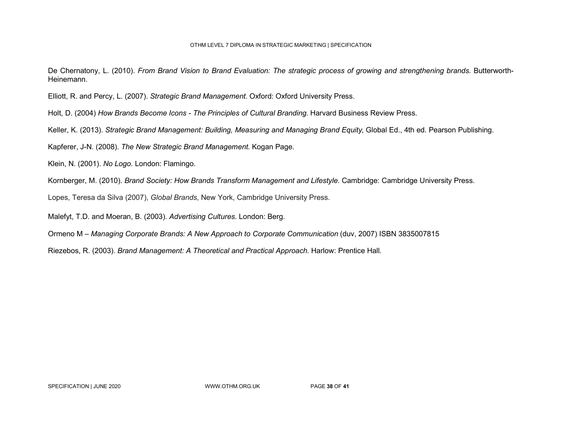De Chernatony, L. (2010). From Brand Vision to Brand Evaluation: The strategic process of growing and strengthening brands. Butterworth-Heinemann.

Elliott, R. and Percy, L. (2007). Strategic Brand Management. Oxford: Oxford University Press.

Holt, D. (2004) How Brands Become Icons - The Principles of Cultural Branding. Harvard Business Review Press.

Keller, K. (2013). Strategic Brand Management: Building, Measuring and Managing Brand Equity, Global Ed., 4th ed. Pearson Publishing.

Kapferer, J-N. (2008). The New Strategic Brand Management. Kogan Page.

Klein, N. (2001). No Logo. London: Flamingo.

Kornberger, M. (2010). Brand Society: How Brands Transform Management and Lifestyle. Cambridge: Cambridge University Press.

Lopes, Teresa da Silva (2007), Global Brands, New York, Cambridge University Press.

Malefyt, T.D. and Moeran, B. (2003). Advertising Cultures. London: Berg.

Ormeno M – Managing Corporate Brands: A New Approach to Corporate Communication (duv, 2007) ISBN 3835007815

Riezebos, R. (2003). Brand Management: A Theoretical and Practical Approach. Harlow: Prentice Hall.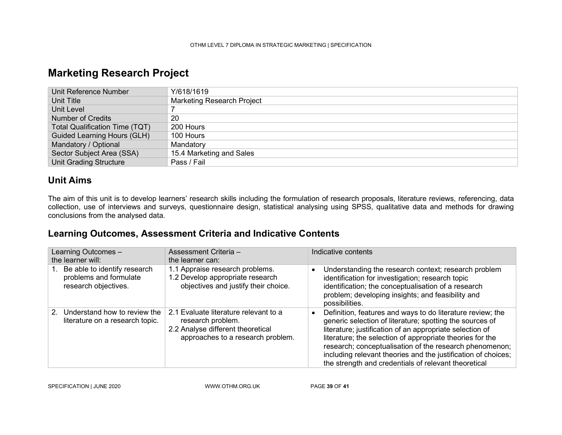### Marketing Research Project

| Unit Reference Number                 | Y/618/1619                 |
|---------------------------------------|----------------------------|
| Unit Title                            | Marketing Research Project |
| Unit Level                            |                            |
| <b>Number of Credits</b>              | 20                         |
| <b>Total Qualification Time (TQT)</b> | 200 Hours                  |
| Guided Learning Hours (GLH)           | 100 Hours                  |
| Mandatory / Optional                  | Mandatory                  |
| Sector Subject Area (SSA)             | 15.4 Marketing and Sales   |
| <b>Unit Grading Structure</b>         | Pass / Fail                |

### Unit Aims

The aim of this unit is to develop learners' research skills including the formulation of research proposals, literature reviews, referencing, data collection, use of interviews and surveys, questionnaire design, statistical analysing using SPSS, qualitative data and methods for drawing conclusions from the analysed data.

#### Learning Outcomes, Assessment Criteria and Indicative Contents

| Learning Outcomes -<br>the learner will:                                       | Assessment Criteria -<br>the learner can:                                                                                            | Indicative contents                                                                                                                                                                                                                                                                                                                                                                                                                 |
|--------------------------------------------------------------------------------|--------------------------------------------------------------------------------------------------------------------------------------|-------------------------------------------------------------------------------------------------------------------------------------------------------------------------------------------------------------------------------------------------------------------------------------------------------------------------------------------------------------------------------------------------------------------------------------|
| Be able to identify research<br>problems and formulate<br>research objectives. | 1.1 Appraise research problems.<br>1.2 Develop appropriate research<br>objectives and justify their choice.                          | Understanding the research context; research problem<br>identification for investigation; research topic<br>identification; the conceptualisation of a research<br>problem; developing insights; and feasibility and<br>possibilities.                                                                                                                                                                                              |
| 2. Understand how to review the<br>literature on a research topic.             | 2.1 Evaluate literature relevant to a<br>research problem.<br>2.2 Analyse different theoretical<br>approaches to a research problem. | Definition, features and ways to do literature review; the<br>generic selection of literature; spotting the sources of<br>literature; justification of an appropriate selection of<br>literature; the selection of appropriate theories for the<br>research; conceptualisation of the research phenomenon;<br>including relevant theories and the justification of choices;<br>the strength and credentials of relevant theoretical |

SPECIFICATION | JUNE 2020 WWW.OTHM.ORG.UK PAGE 39 OF 41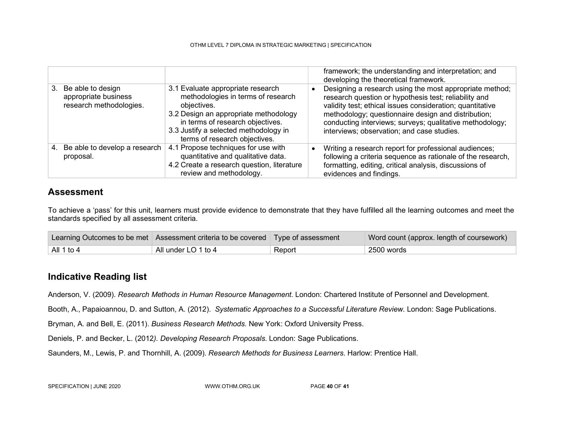|                                                                         |                                                                                                                                                                                                                                               | framework; the understanding and interpretation; and<br>developing the theoretical framework.                                                                                                                                                                                                                                                  |
|-------------------------------------------------------------------------|-----------------------------------------------------------------------------------------------------------------------------------------------------------------------------------------------------------------------------------------------|------------------------------------------------------------------------------------------------------------------------------------------------------------------------------------------------------------------------------------------------------------------------------------------------------------------------------------------------|
| 3. Be able to design<br>appropriate business<br>research methodologies. | 3.1 Evaluate appropriate research<br>methodologies in terms of research<br>objectives.<br>3.2 Design an appropriate methodology<br>in terms of research objectives.<br>3.3 Justify a selected methodology in<br>terms of research objectives. | Designing a research using the most appropriate method;<br>research question or hypothesis test; reliability and<br>validity test; ethical issues consideration; quantitative<br>methodology; questionnaire design and distribution;<br>conducting interviews; surveys; qualitative methodology;<br>interviews; observation; and case studies. |
| 4. Be able to develop a research<br>proposal.                           | 4.1 Propose techniques for use with<br>quantitative and qualitative data.<br>4.2 Create a research question, literature<br>review and methodology.                                                                                            | Writing a research report for professional audiences;<br>following a criteria sequence as rationale of the research,<br>formatting, editing, critical analysis, discussions of<br>evidences and findings.                                                                                                                                      |

#### Assessment

To achieve a 'pass' for this unit, learners must provide evidence to demonstrate that they have fulfilled all the learning outcomes and meet the standards specified by all assessment criteria.

|            | Learning Outcomes to be met Assessment criteria to be covered Type of assessment |        | Word count (approx. length of coursework) |
|------------|----------------------------------------------------------------------------------|--------|-------------------------------------------|
| All 1 to 4 | All under LO 1 to 4                                                              | Report | 2500 words                                |

#### Indicative Reading list

Anderson, V. (2009). Research Methods in Human Resource Management. London: Chartered Institute of Personnel and Development.

Booth, A., Papaioannou, D. and Sutton, A. (2012). Systematic Approaches to a Successful Literature Review. London: Sage Publications.

Bryman, A. and Bell, E. (2011). Business Research Methods. New York: Oxford University Press.

Deniels, P. and Becker, L. (2012). Developing Research Proposals. London: Sage Publications.

Saunders, M., Lewis, P. and Thornhill, A. (2009). Research Methods for Business Learners. Harlow: Prentice Hall.

SPECIFICATION | JUNE 2020 WWW.OTHM.ORG.UK PAGE 40 OF 41